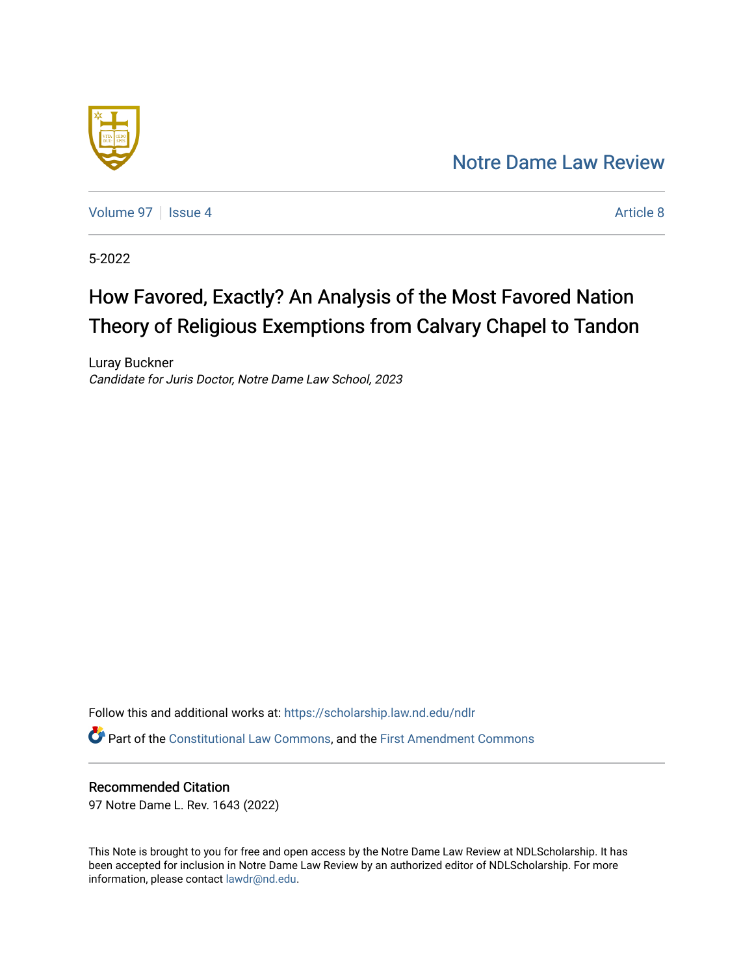## [Notre Dame Law Review](https://scholarship.law.nd.edu/ndlr)



[Volume 97](https://scholarship.law.nd.edu/ndlr/vol97) | [Issue 4](https://scholarship.law.nd.edu/ndlr/vol97/iss4) Article 8

5-2022

# How Favored, Exactly? An Analysis of the Most Favored Nation Theory of Religious Exemptions from Calvary Chapel to Tandon

Luray Buckner Candidate for Juris Doctor, Notre Dame Law School, 2023

<span id="page-0-1"></span><span id="page-0-0"></span>Follow this and additional works at: [https://scholarship.law.nd.edu/ndlr](https://scholarship.law.nd.edu/ndlr?utm_source=scholarship.law.nd.edu%2Fndlr%2Fvol97%2Fiss4%2F8&utm_medium=PDF&utm_campaign=PDFCoverPages) Part of the [Constitutional Law Commons,](https://network.bepress.com/hgg/discipline/589?utm_source=scholarship.law.nd.edu%2Fndlr%2Fvol97%2Fiss4%2F8&utm_medium=PDF&utm_campaign=PDFCoverPages) and the [First Amendment Commons](https://network.bepress.com/hgg/discipline/1115?utm_source=scholarship.law.nd.edu%2Fndlr%2Fvol97%2Fiss4%2F8&utm_medium=PDF&utm_campaign=PDFCoverPages)

## Recommended Citation

97 Notre Dame L. Rev. 1643 (2022)

This Note is brought to you for free and open access by the Notre Dame Law Review at NDLScholarship. It has been accepted for inclusion in Notre Dame Law Review by an authorized editor of NDLScholarship. For more information, please contact [lawdr@nd.edu.](mailto:lawdr@nd.edu)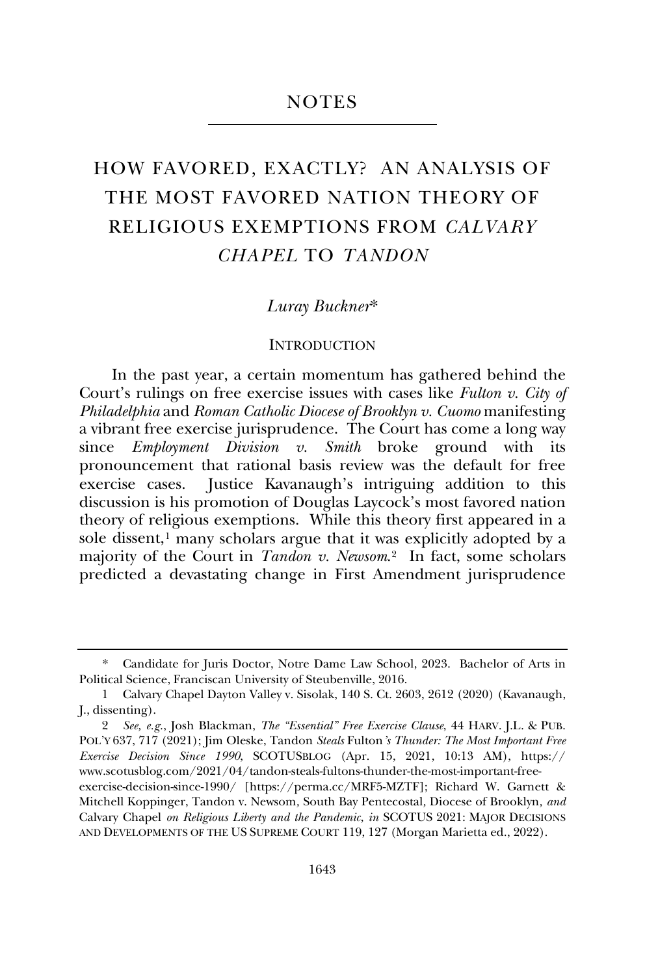#### **NOTES**

## HOW FAVORED, EXACTLY? AN ANALYSIS OF THE MOST FAVORED NATION THEORY OF RELIGIOUS EXEMPTIONS FROM *CALVARY CHAPEL* TO *TANDON*

#### *Luray Buckner*\*

#### **INTRODUCTION**

In the past year, a certain momentum has gathered behind the Court's rulings on free exercise issues with cases like *Fulton v. City of Philadelphia* and *Roman Catholic Diocese of Brooklyn v. Cuomo* manifesting a vibrant free exercise jurisprudence. The Court has come a long way since *Employment Division v. Smith* broke ground with its pronouncement that rational basis review was the default for free exercise cases. Justice Kavanaugh's intriguing addition to this discussion is his promotion of Douglas Laycock's most favored nation theory of religious exemptions. While this theory first appeared in a sole dissent, $<sup>1</sup>$  $<sup>1</sup>$  $<sup>1</sup>$  many scholars argue that it was explicitly adopted by a</sup> majority of the Court in *Tandon v. Newsom*.[2](#page-0-1) In fact, some scholars predicted a devastating change in First Amendment jurisprudence

<sup>\*</sup> Candidate for Juris Doctor, Notre Dame Law School, 2023. Bachelor of Arts in Political Science, Franciscan University of Steubenville, 2016.

<sup>1</sup> Calvary Chapel Dayton Valley v. Sisolak, 140 S. Ct. 2603, 2612 (2020) (Kavanaugh, J., dissenting).

<sup>2</sup> *See, e.g.*, Josh Blackman, *The "Essential" Free Exercise Clause*, 44 HARV. J.L. & PUB. POL'Y 637, 717 (2021); Jim Oleske, Tandon *Steals* Fulton*'s Thunder: The Most Important Free Exercise Decision Since 1990*, SCOTUSBLOG (Apr. 15, 2021, 10:13 AM), https:// www.scotusblog.com/2021/04/tandon-steals-fultons-thunder-the-most-important-free-

<span id="page-1-0"></span>exercise-decision-since-1990/ [https://perma.cc/MRF5-MZTF]; Richard W. Garnett & Mitchell Koppinger, Tandon v. Newsom*,* South Bay Pentecostal*,* Diocese of Brooklyn*, and*  Calvary Chapel *on Religious Liberty and the Pandemic*, *in* SCOTUS 2021: MAJOR DECISIONS AND DEVELOPMENTS OF THE US SUPREME COURT 119, 127 (Morgan Marietta ed., 2022).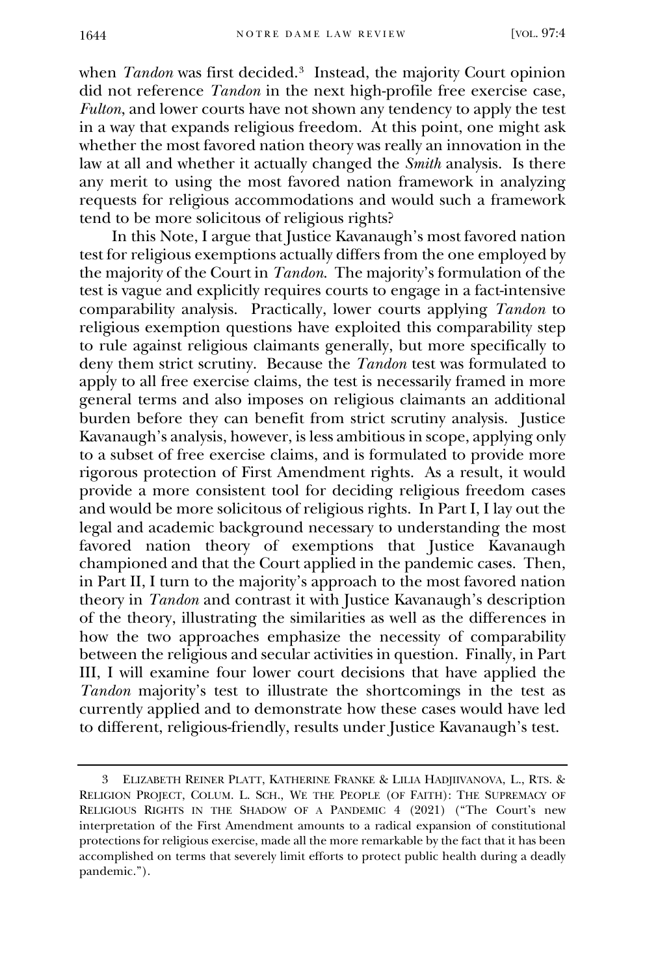when *Tandon* was first decided.[3](#page-1-0) Instead, the majority Court opinion did not reference *Tandon* in the next high-profile free exercise case, *Fulton*, and lower courts have not shown any tendency to apply the test in a way that expands religious freedom. At this point, one might ask whether the most favored nation theory was really an innovation in the law at all and whether it actually changed the *Smith* analysis. Is there any merit to using the most favored nation framework in analyzing requests for religious accommodations and would such a framework tend to be more solicitous of religious rights?

In this Note, I argue that Justice Kavanaugh's most favored nation test for religious exemptions actually differs from the one employed by the majority of the Court in *Tandon*. The majority's formulation of the test is vague and explicitly requires courts to engage in a fact-intensive comparability analysis. Practically, lower courts applying *Tandon* to religious exemption questions have exploited this comparability step to rule against religious claimants generally, but more specifically to deny them strict scrutiny. Because the *Tandon* test was formulated to apply to all free exercise claims, the test is necessarily framed in more general terms and also imposes on religious claimants an additional burden before they can benefit from strict scrutiny analysis. Justice Kavanaugh's analysis, however, is less ambitious in scope, applying only to a subset of free exercise claims, and is formulated to provide more rigorous protection of First Amendment rights. As a result, it would provide a more consistent tool for deciding religious freedom cases and would be more solicitous of religious rights. In Part I, I lay out the legal and academic background necessary to understanding the most favored nation theory of exemptions that Justice Kavanaugh championed and that the Court applied in the pandemic cases. Then, in Part II, I turn to the majority's approach to the most favored nation theory in *Tandon* and contrast it with Justice Kavanaugh's description of the theory, illustrating the similarities as well as the differences in how the two approaches emphasize the necessity of comparability between the religious and secular activities in question. Finally, in Part III, I will examine four lower court decisions that have applied the *Tandon* majority's test to illustrate the shortcomings in the test as currently applied and to demonstrate how these cases would have led to different, religious-friendly, results under Justice Kavanaugh's test.

<span id="page-2-4"></span><span id="page-2-3"></span><span id="page-2-2"></span><span id="page-2-1"></span><span id="page-2-0"></span><sup>3</sup> ELIZABETH REINER PLATT, KATHERINE FRANKE & LILIA HADJIIVANOVA, L., RTS. & RELIGION PROJECT, COLUM. L. SCH., WE THE PEOPLE (OF FAITH): THE SUPREMACY OF RELIGIOUS RIGHTS IN THE SHADOW OF A PANDEMIC 4 (2021) ("The Court's new interpretation of the First Amendment amounts to a radical expansion of constitutional protections for religious exercise, made all the more remarkable by the fact that it has been accomplished on terms that severely limit efforts to protect public health during a deadly pandemic.").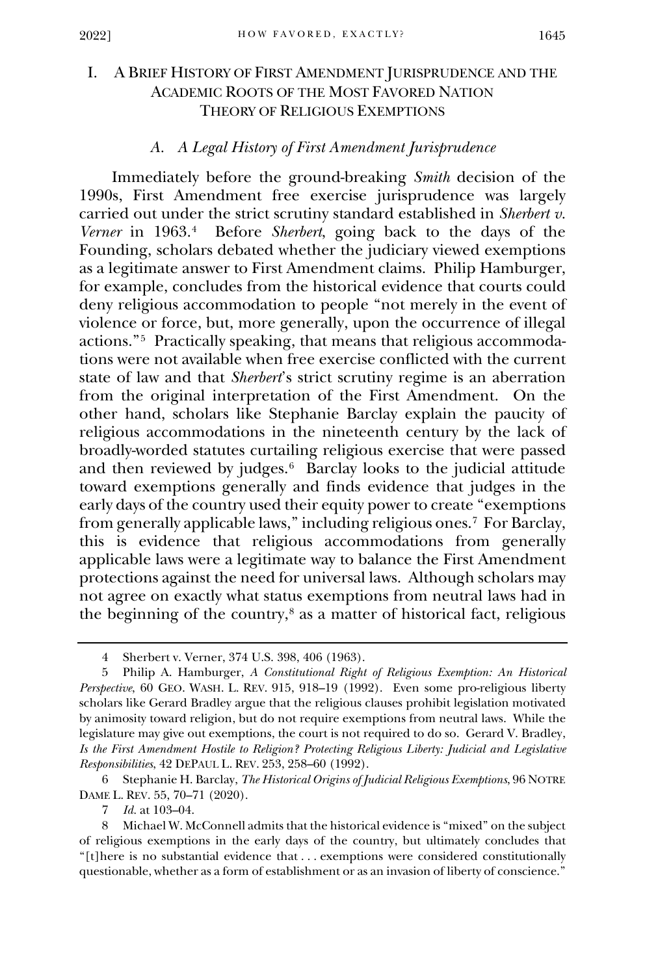## I. A BRIEF HISTORY OF FIRST AMENDMENT JURISPRUDENCE AND THE ACADEMIC ROOTS OF THE MOST FAVORED NATION THEORY OF RELIGIOUS EXEMPTIONS

### *A. A Legal History of First Amendment Jurisprudence*

Immediately before the ground-breaking *Smith* decision of the 1990s, First Amendment free exercise jurisprudence was largely carried out under the strict scrutiny standard established in *Sherbert v. Verner* in 1963.[4](#page-2-0) Before *Sherbert*, going back to the days of the Founding, scholars debated whether the judiciary viewed exemptions as a legitimate answer to First Amendment claims. Philip Hamburger, for example, concludes from the historical evidence that courts could deny religious accommodation to people "not merely in the event of violence or force, but, more generally, upon the occurrence of illegal actions."[5](#page-2-1) Practically speaking, that means that religious accommodations were not available when free exercise conflicted with the current state of law and that *Sherbert*'s strict scrutiny regime is an aberration from the original interpretation of the First Amendment. On the other hand, scholars like Stephanie Barclay explain the paucity of religious accommodations in the nineteenth century by the lack of broadly-worded statutes curtailing religious exercise that were passed and then reviewed by judges. $6$  Barclay looks to the judicial attitude toward exemptions generally and finds evidence that judges in the early days of the country used their equity power to create "exemptions from generally applicable laws," including religious ones[.7](#page-2-3) For Barclay, this is evidence that religious accommodations from generally applicable laws were a legitimate way to balance the First Amendment protections against the need for universal laws. Although scholars may not agree on exactly what status exemptions from neutral laws had in the beginning of the country, $\delta$  as a matter of historical fact, religious

7 *Id.* at 103–04.

<sup>4</sup> Sherbert v. Verner, 374 U.S. 398, 406 (1963).

<sup>5</sup> Philip A. Hamburger, *A Constitutional Right of Religious Exemption: An Historical Perspective*, 60 GEO. WASH. L. REV. 915, 918–19 (1992). Even some pro-religious liberty scholars like Gerard Bradley argue that the religious clauses prohibit legislation motivated by animosity toward religion, but do not require exemptions from neutral laws. While the legislature may give out exemptions, the court is not required to do so. Gerard V. Bradley, *Is the First Amendment Hostile to Religion? Protecting Religious Liberty: Judicial and Legislative Responsibilities*, 42 DEPAUL L. REV. 253, 258–60 (1992).

<sup>6</sup> Stephanie H. Barclay, *The Historical Origins of Judicial Religious Exemptions*, 96 NOTRE DAME L. REV. 55, 70–71 (2020).

<span id="page-3-4"></span><span id="page-3-3"></span><span id="page-3-2"></span><span id="page-3-1"></span><span id="page-3-0"></span><sup>8</sup> Michael W. McConnell admits that the historical evidence is "mixed" on the subject of religious exemptions in the early days of the country, but ultimately concludes that "[t]here is no substantial evidence that . . . exemptions were considered constitutionally questionable, whether as a form of establishment or as an invasion of liberty of conscience."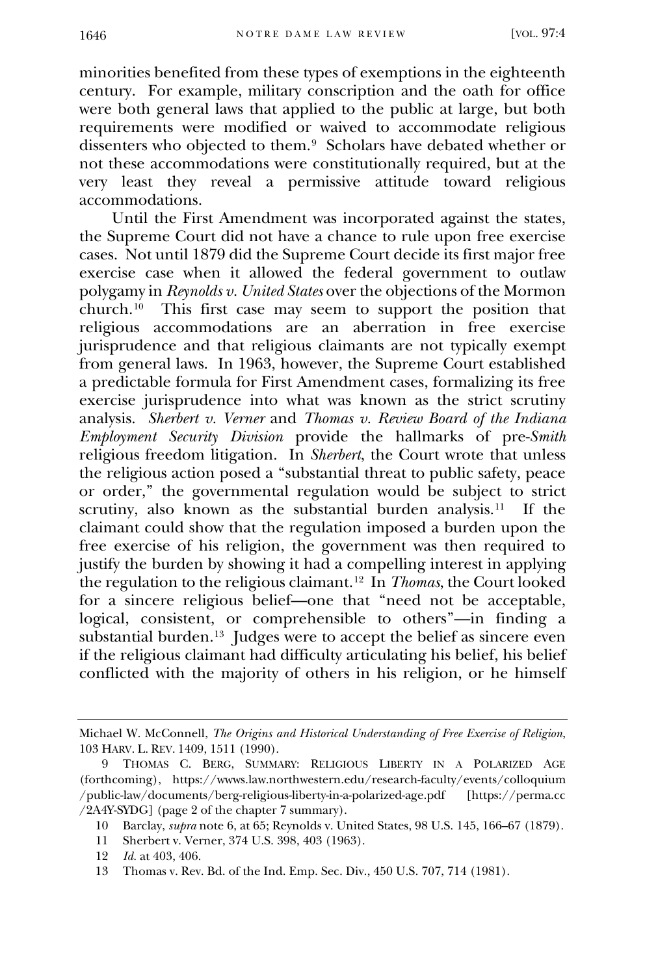minorities benefited from these types of exemptions in the eighteenth century. For example, military conscription and the oath for office were both general laws that applied to the public at large, but both requirements were modified or waived to accommodate religious dissenters who objected to them.[9](#page-3-0) Scholars have debated whether or not these accommodations were constitutionally required, but at the very least they reveal a permissive attitude toward religious accommodations.

Until the First Amendment was incorporated against the states, the Supreme Court did not have a chance to rule upon free exercise cases. Not until 1879 did the Supreme Court decide its first major free exercise case when it allowed the federal government to outlaw polygamy in *Reynolds v. United States* over the objections of the Mormon church.[10](#page-3-1) This first case may seem to support the position that religious accommodations are an aberration in free exercise jurisprudence and that religious claimants are not typically exempt from general laws. In 1963, however, the Supreme Court established a predictable formula for First Amendment cases, formalizing its free exercise jurisprudence into what was known as the strict scrutiny analysis. *Sherbert v. Verner* and *Thomas v. Review Board of the Indiana Employment Security Division* provide the hallmarks of pre-*Smith* religious freedom litigation. In *Sherbert*, the Court wrote that unless the religious action posed a "substantial threat to public safety, peace or order," the governmental regulation would be subject to strict scrutiny, also known as the substantial burden analysis.<sup>[11](#page-3-2)</sup> If the claimant could show that the regulation imposed a burden upon the free exercise of his religion, the government was then required to justify the burden by showing it had a compelling interest in applying the regulation to the religious claimant.[12](#page-3-3) In *Thomas*, the Court looked for a sincere religious belief—one that "need not be acceptable, logical, consistent, or comprehensible to others"—in finding a substantial burden.<sup>13</sup> Judges were to accept the belief as sincere even if the religious claimant had difficulty articulating his belief, his belief conflicted with the majority of others in his religion, or he himself

Michael W. McConnell, *The Origins and Historical Understanding of Free Exercise of Religion*, 103 HARV. L. REV. 1409, 1511 (1990).

<span id="page-4-3"></span><span id="page-4-2"></span><span id="page-4-1"></span><span id="page-4-0"></span><sup>9</sup> THOMAS C. BERG, SUMMARY: RELIGIOUS LIBERTY IN A POLARIZED AGE (forthcoming), https://wwws.law.northwestern.edu/research-faculty/events/colloquium /public-law/documents/berg-religious-liberty-in-a-polarized-age.pdf [https://perma.cc /2A4Y-SYDG] (page 2 of the chapter 7 summary).

<sup>10</sup> Barclay, *supra* note 6, at 65; Reynolds v. United States, 98 U.S. 145, 166–67 (1879).

<sup>11</sup> Sherbert v. Verner, 374 U.S. 398, 403 (1963).

<span id="page-4-4"></span><sup>12</sup> *Id.* at 403, 406.

<span id="page-4-10"></span><span id="page-4-9"></span><span id="page-4-8"></span><span id="page-4-7"></span><span id="page-4-6"></span><span id="page-4-5"></span><sup>13</sup> Thomas v. Rev. Bd. of the Ind. Emp. Sec. Div., 450 U.S. 707, 714 (1981).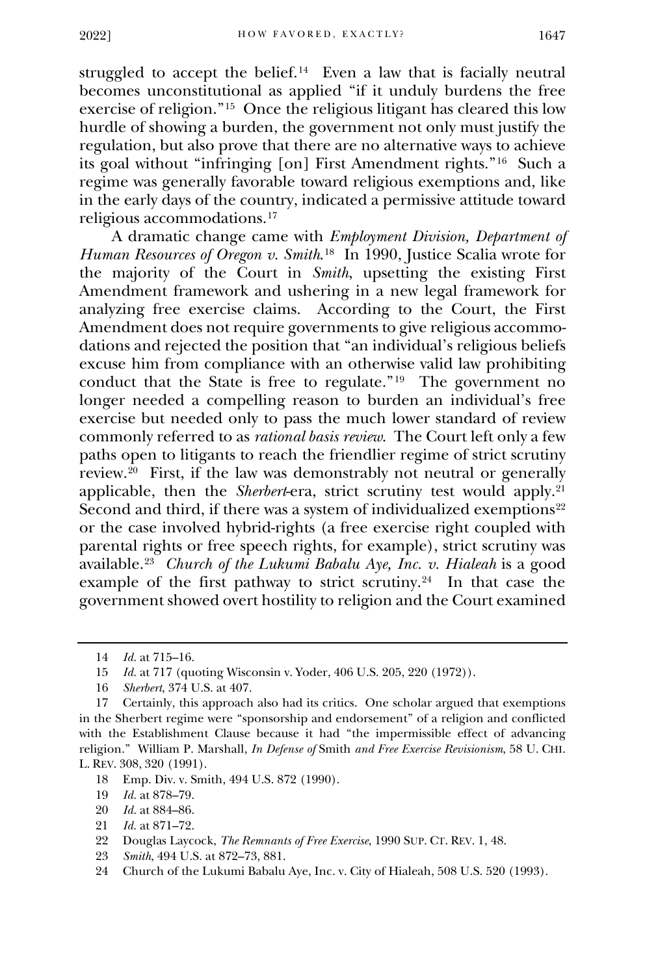struggled to accept the belief.<sup>14</sup> Even a law that is facially neutral becomes unconstitutional as applied "if it unduly burdens the free exercise of religion."[15](#page-4-1) Once the religious litigant has cleared this low hurdle of showing a burden, the government not only must justify the regulation, but also prove that there are no alternative ways to achieve its goal without "infringing [on] First Amendment rights."[16](#page-4-2) Such a regime was generally favorable toward religious exemptions and, like in the early days of the country, indicated a permissive attitude toward religious accommodations.[17](#page-4-3)

A dramatic change came with *Employment Division, Department of Human Resources of Oregon v. Smith*.[18](#page-4-4)In 1990, Justice Scalia wrote for the majority of the Court in *Smith*, upsetting the existing First Amendment framework and ushering in a new legal framework for analyzing free exercise claims. According to the Court, the First Amendment does not require governments to give religious accommodations and rejected the position that "an individual's religious beliefs excuse him from compliance with an otherwise valid law prohibiting conduct that the State is free to regulate."[19](#page-4-5) The government no longer needed a compelling reason to burden an individual's free exercise but needed only to pass the much lower standard of review commonly referred to as *rational basis review*. The Court left only a few paths open to litigants to reach the friendlier regime of strict scrutiny review.[20](#page-4-6) First, if the law was demonstrably not neutral or generally applicable, then the *Sherbert*-era, strict scrutiny test would apply.<sup>[21](#page-4-7)</sup> Second and third, if there was a system of individualized exemptions<sup>[22](#page-4-8)</sup> or the case involved hybrid-rights (a free exercise right coupled with parental rights or free speech rights, for example), strict scrutiny was available.[23](#page-4-9) *Church of the Lukumi Babalu Aye, Inc. v. Hialeah* is a good example of the first pathway to strict scrutiny.<sup>[24](#page-4-10)</sup> In that case the government showed overt hostility to religion and the Court examined

- 18 Emp. Div. v. Smith, 494 U.S. 872 (1990).
- 19 *Id.* at 878–79.
- 20 *Id.* at 884–86.
- 21 *Id.* at 871–72.
- 22 Douglas Laycock, *The Remnants of Free Exercise*, 1990 SUP. CT. REV. 1, 48.
- <span id="page-5-4"></span>23 *Smith*, 494 U.S. at 872–73, 881.
- <span id="page-5-5"></span>24 Church of the Lukumi Babalu Aye, Inc. v. City of Hialeah, 508 U.S. 520 (1993).

<sup>14</sup> *Id.* at 715–16.

<sup>15</sup> *Id.* at 717 (quoting Wisconsin v. Yoder, 406 U.S. 205, 220 (1972)).

<sup>16</sup> *Sherbert*, 374 U.S. at 407.

<span id="page-5-3"></span><span id="page-5-2"></span><span id="page-5-1"></span><span id="page-5-0"></span><sup>17</sup> Certainly, this approach also had its critics. One scholar argued that exemptions in the Sherbert regime were "sponsorship and endorsement" of a religion and conflicted with the Establishment Clause because it had "the impermissible effect of advancing religion." William P. Marshall, *In Defense of* Smith *and Free Exercise Revisionism*, 58 U. CHI. L. REV. 308, 320 (1991).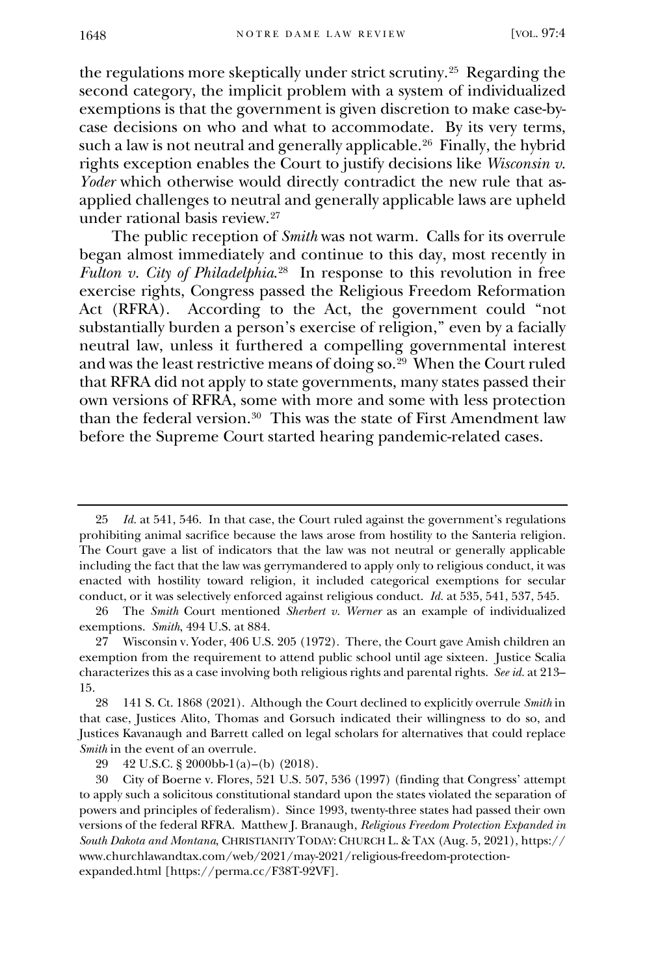the regulations more skeptically under strict scrutiny.[25](#page-5-0) Regarding the second category, the implicit problem with a system of individualized exemptions is that the government is given discretion to make case-bycase decisions on who and what to accommodate. By its very terms, such a law is not neutral and generally applicable.<sup>26</sup> Finally, the hybrid rights exception enables the Court to justify decisions like *Wisconsin v. Yoder* which otherwise would directly contradict the new rule that asapplied challenges to neutral and generally applicable laws are upheld under rational basis review.[27](#page-5-2)

The public reception of *Smith* was not warm. Calls for its overrule began almost immediately and continue to this day, most recently in *Fulton v. City of Philadelphia*<sup>28</sup> In response to this revolution in free exercise rights, Congress passed the Religious Freedom Reformation Act (RFRA). According to the Act, the government could "not substantially burden a person's exercise of religion," even by a facially neutral law, unless it furthered a compelling governmental interest and was the least restrictive means of doing so.[29](#page-5-4) When the Court ruled that RFRA did not apply to state governments, many states passed their own versions of RFRA, some with more and some with less protection than the federal version.[30](#page-5-5) This was the state of First Amendment law before the Supreme Court started hearing pandemic-related cases.

<sup>25</sup> *Id.* at 541, 546. In that case, the Court ruled against the government's regulations prohibiting animal sacrifice because the laws arose from hostility to the Santeria religion. The Court gave a list of indicators that the law was not neutral or generally applicable including the fact that the law was gerrymandered to apply only to religious conduct, it was enacted with hostility toward religion, it included categorical exemptions for secular conduct, or it was selectively enforced against religious conduct. *Id.* at 535, 541, 537, 545.

<sup>26</sup> The *Smith* Court mentioned *Sherbert v. Werner* as an example of individualized exemptions. *Smith*, 494 U.S. at 884.

<sup>27</sup> Wisconsin v. Yoder, 406 U.S. 205 (1972). There, the Court gave Amish children an exemption from the requirement to attend public school until age sixteen. Justice Scalia characterizes this as a case involving both religious rights and parental rights. *See id.* at 213– 15.

<sup>28</sup> 141 S. Ct. 1868 (2021). Although the Court declined to explicitly overrule *Smith* in that case, Justices Alito, Thomas and Gorsuch indicated their willingness to do so, and Justices Kavanaugh and Barrett called on legal scholars for alternatives that could replace *Smith* in the event of an overrule.

<sup>29</sup> 42 U.S.C. § 2000bb-1(a)–(b) (2018).

<span id="page-6-3"></span><span id="page-6-2"></span><span id="page-6-1"></span><span id="page-6-0"></span><sup>30</sup> City of Boerne v. Flores, 521 U.S. 507, 536 (1997) (finding that Congress' attempt to apply such a solicitous constitutional standard upon the states violated the separation of powers and principles of federalism). Since 1993, twenty-three states had passed their own versions of the federal RFRA. Matthew J. Branaugh, *Religious Freedom Protection Expanded in South Dakota and Montana*, CHRISTIANITY TODAY: CHURCH L. & TAX (Aug. 5, 2021), https:// www.churchlawandtax.com/web/2021/may-2021/religious-freedom-protectionexpanded.html [https://perma.cc/F38T-92VF].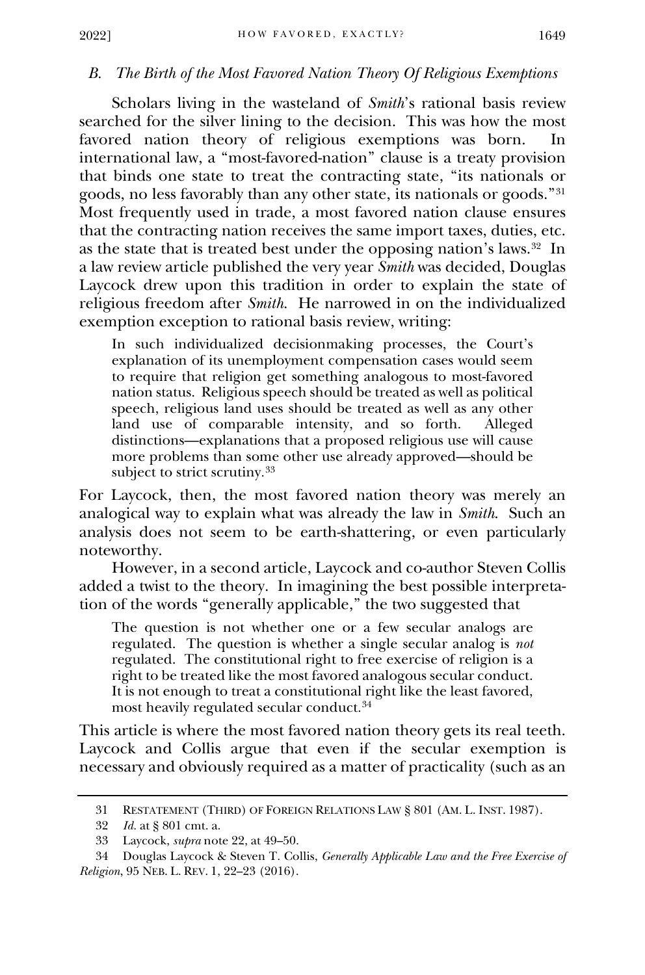#### *B. The Birth of the Most Favored Nation Theory Of Religious Exemptions*

Scholars living in the wasteland of *Smith*'s rational basis review searched for the silver lining to the decision. This was how the most favored nation theory of religious exemptions was born. In international law, a "most-favored-nation" clause is a treaty provision that binds one state to treat the contracting state, "its nationals or goods, no less favorably than any other state, its nationals or goods."[31](#page-6-0) Most frequently used in trade, a most favored nation clause ensures that the contracting nation receives the same import taxes, duties, etc. as the state that is treated best under the opposing nation's laws.[32](#page-6-1) In a law review article published the very year *Smith* was decided, Douglas Laycock drew upon this tradition in order to explain the state of religious freedom after *Smith*. He narrowed in on the individualized exemption exception to rational basis review, writing:

In such individualized decisionmaking processes, the Court's explanation of its unemployment compensation cases would seem to require that religion get something analogous to most-favored nation status. Religious speech should be treated as well as political speech, religious land uses should be treated as well as any other land use of comparable intensity, and so forth. Alleged distinctions—explanations that a proposed religious use will cause more problems than some other use already approved—should be subject to strict scrutiny. [33](#page-6-2)

For Laycock, then, the most favored nation theory was merely an analogical way to explain what was already the law in *Smith*. Such an analysis does not seem to be earth-shattering, or even particularly noteworthy.

However, in a second article, Laycock and co-author Steven Collis added a twist to the theory. In imagining the best possible interpretation of the words "generally applicable," the two suggested that

The question is not whether one or a few secular analogs are regulated. The question is whether a single secular analog is *not*  regulated. The constitutional right to free exercise of religion is a right to be treated like the most favored analogous secular conduct. It is not enough to treat a constitutional right like the least favored, most heavily regulated secular conduct. [34](#page-6-3)

This article is where the most favored nation theory gets its real teeth. Laycock and Collis argue that even if the secular exemption is necessary and obviously required as a matter of practicality (such as an

<sup>31</sup> RESTATEMENT (THIRD) OF FOREIGN RELATIONS LAW § 801 (AM. L. INST. 1987).

<sup>32</sup> *Id.* at § 801 cmt. a.

<sup>33</sup> Laycock, *supra* note 22, at 49–50.

<span id="page-7-7"></span><span id="page-7-6"></span><span id="page-7-5"></span><span id="page-7-4"></span><span id="page-7-3"></span><span id="page-7-2"></span><span id="page-7-1"></span><span id="page-7-0"></span><sup>34</sup> Douglas Laycock & Steven T. Collis, *Generally Applicable Law and the Free Exercise of Religion*, 95 NEB. L. REV. 1, 22–23 (2016).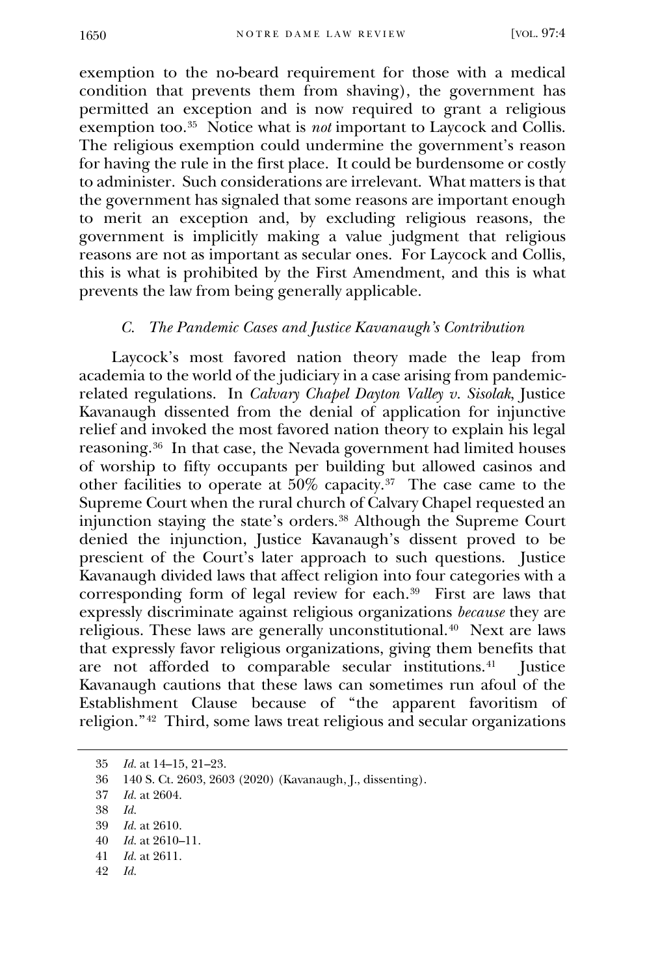exemption to the no-beard requirement for those with a medical condition that prevents them from shaving), the government has permitted an exception and is now required to grant a religious exemption too.<sup>[35](#page-7-0)</sup> Notice what is *not* important to Laycock and Collis. The religious exemption could undermine the government's reason for having the rule in the first place. It could be burdensome or costly to administer. Such considerations are irrelevant. What matters is that the government has signaled that some reasons are important enough to merit an exception and, by excluding religious reasons, the government is implicitly making a value judgment that religious reasons are not as important as secular ones. For Laycock and Collis, this is what is prohibited by the First Amendment, and this is what prevents the law from being generally applicable.

#### *C. The Pandemic Cases and Justice Kavanaugh's Contribution*

Laycock's most favored nation theory made the leap from academia to the world of the judiciary in a case arising from pandemicrelated regulations. In *Calvary Chapel Dayton Valley v. Sisolak*, Justice Kavanaugh dissented from the denial of application for injunctive relief and invoked the most favored nation theory to explain his legal reasoning.[36](#page-7-1) In that case, the Nevada government had limited houses of worship to fifty occupants per building but allowed casinos and other facilities to operate at  $50\%$  capacity.<sup>37</sup> The case came to the Supreme Court when the rural church of Calvary Chapel requested an injunction staying the state's orders.[38](#page-7-3) Although the Supreme Court denied the injunction, Justice Kavanaugh's dissent proved to be prescient of the Court's later approach to such questions. Justice Kavanaugh divided laws that affect religion into four categories with a corresponding form of legal review for each.[39](#page-7-4) First are laws that expressly discriminate against religious organizations *because* they are religious. These laws are generally unconstitutional.[40](#page-7-5) Next are laws that expressly favor religious organizations, giving them benefits that are not afforded to comparable secular institutions.<sup>41</sup> Justice Kavanaugh cautions that these laws can sometimes run afoul of the Establishment Clause because of "the apparent favoritism of religion."[42](#page-7-7) Third, some laws treat religious and secular organizations

<span id="page-8-7"></span><span id="page-8-6"></span><span id="page-8-5"></span><span id="page-8-4"></span>42 *Id.* 

<span id="page-8-0"></span><sup>35</sup> *Id.* at 14–15, 21–23.

<sup>36</sup> 140 S. Ct. 2603, 2603 (2020) (Kavanaugh, J., dissenting).

<span id="page-8-1"></span><sup>37</sup> *Id.* at 2604.

<span id="page-8-2"></span><sup>38</sup> *Id.*

<span id="page-8-3"></span><sup>39</sup> *Id.* at 2610.

<sup>40</sup> *Id.* at 2610–11.

<sup>41</sup> *Id.* at 2611.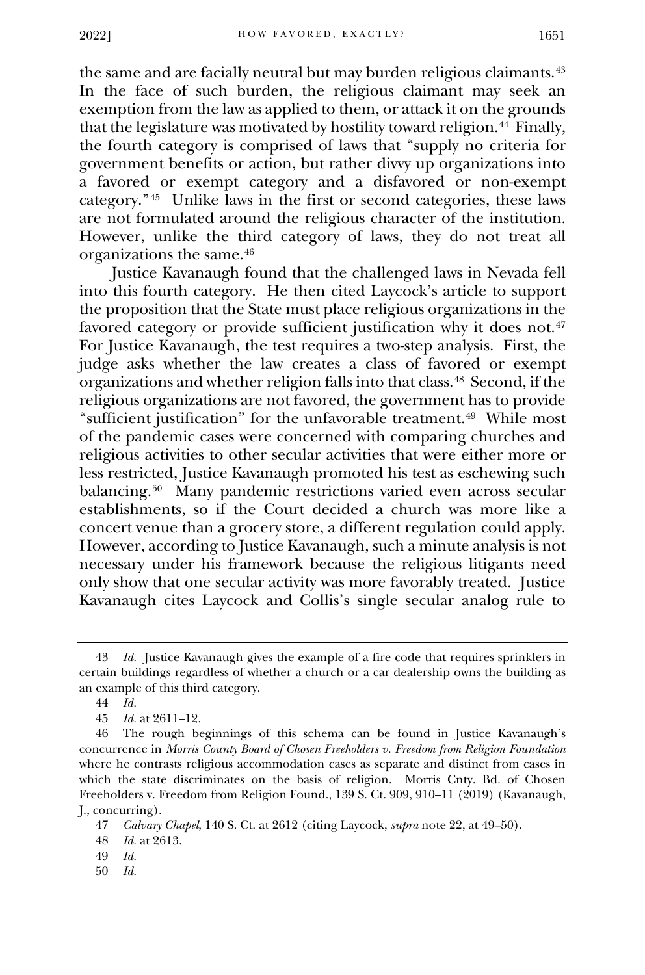the same and are facially neutral but may burden religious claimants.<sup>[43](#page-8-0)</sup> In the face of such burden, the religious claimant may seek an exemption from the law as applied to them, or attack it on the grounds that the legislature was motivated by hostility toward religion.<sup>[44](#page-8-1)</sup> Finally, the fourth category is comprised of laws that "supply no criteria for government benefits or action, but rather divvy up organizations into a favored or exempt category and a disfavored or non-exempt category."[45](#page-8-2) Unlike laws in the first or second categories, these laws are not formulated around the religious character of the institution. However, unlike the third category of laws, they do not treat all organizations the same.[46](#page-8-3)

Justice Kavanaugh found that the challenged laws in Nevada fell into this fourth category. He then cited Laycock's article to support the proposition that the State must place religious organizations in the favored category or provide sufficient justification why it does not.<sup>[47](#page-8-4)</sup> For Justice Kavanaugh, the test requires a two-step analysis. First, the judge asks whether the law creates a class of favored or exempt organizations and whether religion falls into that class.[48](#page-8-5) Second, if the religious organizations are not favored, the government has to provide "sufficient justification" for the unfavorable treatment.<sup>49</sup> While most of the pandemic cases were concerned with comparing churches and religious activities to other secular activities that were either more or less restricted, Justice Kavanaugh promoted his test as eschewing such balancing.[50](#page-8-7) Many pandemic restrictions varied even across secular establishments, so if the Court decided a church was more like a concert venue than a grocery store, a different regulation could apply. However, according to Justice Kavanaugh, such a minute analysis is not necessary under his framework because the religious litigants need only show that one secular activity was more favorably treated. Justice Kavanaugh cites Laycock and Collis's single secular analog rule to

48 *Id.* at 2613.

<span id="page-9-8"></span><span id="page-9-7"></span><span id="page-9-6"></span><span id="page-9-5"></span><span id="page-9-4"></span><span id="page-9-3"></span>50 *Id.* 

<sup>43</sup> *Id.* Justice Kavanaugh gives the example of a fire code that requires sprinklers in certain buildings regardless of whether a church or a car dealership owns the building as an example of this third category.

<sup>44</sup> *Id.* 

<sup>45</sup> *Id.* at 2611–12.

<span id="page-9-1"></span><span id="page-9-0"></span><sup>46</sup> The rough beginnings of this schema can be found in Justice Kavanaugh's concurrence in *Morris County Board of Chosen Freeholders v. Freedom from Religion Foundation*  where he contrasts religious accommodation cases as separate and distinct from cases in which the state discriminates on the basis of religion. Morris Cnty. Bd. of Chosen Freeholders v. Freedom from Religion Found., 139 S. Ct. 909, 910–11 (2019) (Kavanaugh, J., concurring).

<sup>47</sup> *Calvary Chapel*, 140 S. Ct. at 2612 (citing Laycock, *supra* note 22, at 49–50).

<span id="page-9-2"></span><sup>49</sup> *Id.*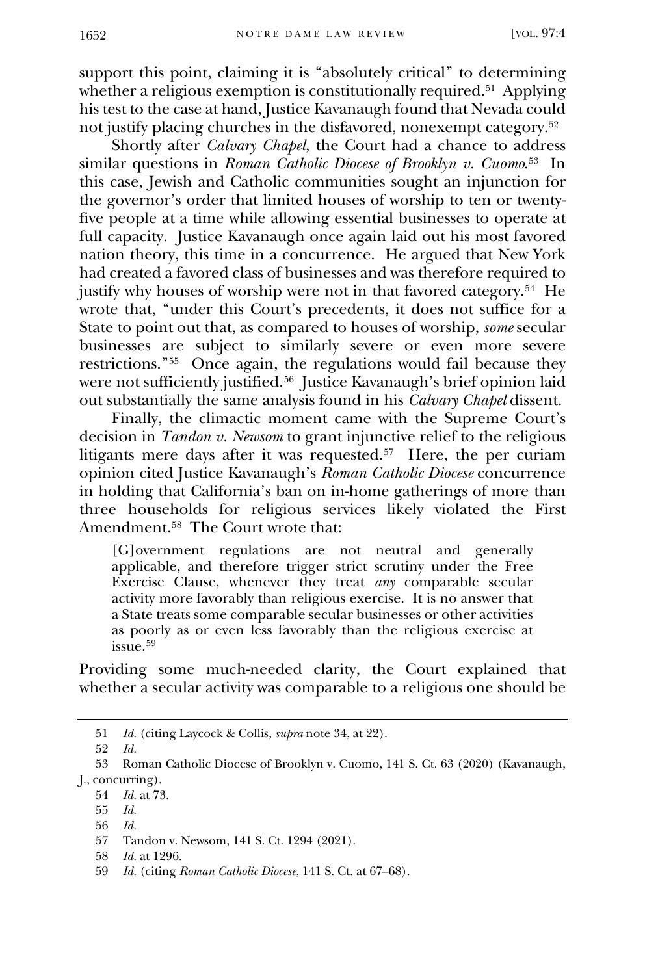support this point, claiming it is "absolutely critical" to determining whether a religious exemption is constitutionally required.<sup>51</sup> Applying his test to the case at hand, Justice Kavanaugh found that Nevada could not justify placing churches in the disfavored, nonexempt category.[52](#page-9-1)

Shortly after *Calvary Chapel*, the Court had a chance to address similar questions in *Roman Catholic Diocese of Brooklyn v. Cuomo*.[53](#page-9-2) In this case, Jewish and Catholic communities sought an injunction for the governor's order that limited houses of worship to ten or twentyfive people at a time while allowing essential businesses to operate at full capacity. Justice Kavanaugh once again laid out his most favored nation theory, this time in a concurrence. He argued that New York had created a favored class of businesses and was therefore required to justify why houses of worship were not in that favored category.<sup>[54](#page-9-3)</sup> He wrote that, "under this Court's precedents, it does not suffice for a State to point out that, as compared to houses of worship, *some* secular businesses are subject to similarly severe or even more severe restrictions."[55](#page-9-4) Once again, the regulations would fail because they were not sufficiently justified.<sup>56</sup> Justice Kavanaugh's brief opinion laid out substantially the same analysis found in his *Calvary Chapel* dissent.

Finally, the climactic moment came with the Supreme Court's decision in *Tandon v. Newsom* to grant injunctive relief to the religious litigants mere days after it was requested.[57](#page-9-6) Here, the per curiam opinion cited Justice Kavanaugh's *Roman Catholic Diocese* concurrence in holding that California's ban on in-home gatherings of more than three households for religious services likely violated the First Amendment.[58](#page-9-7) The Court wrote that:

[G]overnment regulations are not neutral and generally applicable, and therefore trigger strict scrutiny under the Free Exercise Clause, whenever they treat *any* comparable secular activity more favorably than religious exercise. It is no answer that a State treats some comparable secular businesses or other activities as poorly as or even less favorably than the religious exercise at issue. [59](#page-9-8)

Providing some much-needed clarity, the Court explained that whether a secular activity was comparable to a religious one should be

<sup>51</sup> *Id.* (citing Laycock & Collis, *supra* note 34, at 22).

<sup>52</sup> *Id.*

<sup>53</sup> Roman Catholic Diocese of Brooklyn v. Cuomo, 141 S. Ct. 63 (2020) (Kavanaugh, J., concurring).

<sup>54</sup> *Id.* at 73.

<sup>55</sup> *Id.* 

<sup>56</sup> *Id.*

<sup>57</sup> Tandon v. Newsom, 141 S. Ct. 1294 (2021).

<span id="page-10-0"></span><sup>58</sup> *Id.* at 1296.

<span id="page-10-6"></span><span id="page-10-5"></span><span id="page-10-4"></span><span id="page-10-3"></span><span id="page-10-2"></span><span id="page-10-1"></span><sup>59</sup> *Id.* (citing *Roman Catholic Diocese*, 141 S. Ct. at 67–68).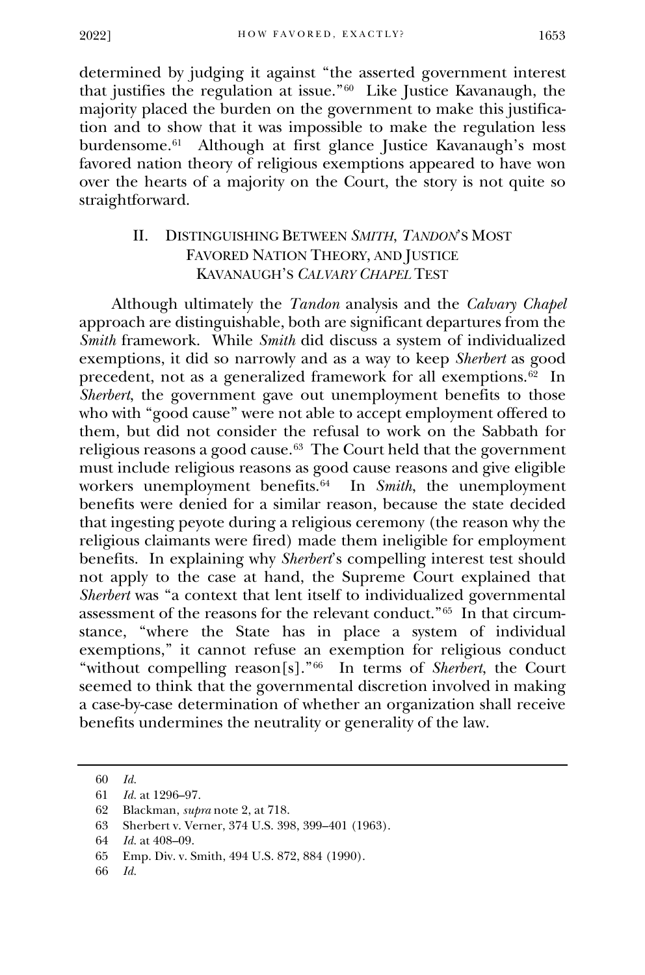determined by judging it against "the asserted government interest that justifies the regulation at issue."[60](#page-10-0) Like Justice Kavanaugh, the majority placed the burden on the government to make this justification and to show that it was impossible to make the regulation less burdensome.[61](#page-10-1) Although at first glance Justice Kavanaugh's most favored nation theory of religious exemptions appeared to have won over the hearts of a majority on the Court, the story is not quite so straightforward.

## II. DISTINGUISHING BETWEEN *SMITH*, *TANDON*'S MOST FAVORED NATION THEORY, AND JUSTICE KAVANAUGH'S *CALVARY CHAPEL* TEST

Although ultimately the *Tandon* analysis and the *Calvary Chapel* approach are distinguishable, both are significant departures from the *Smith* framework. While *Smith* did discuss a system of individualized exemptions, it did so narrowly and as a way to keep *Sherbert* as good precedent, not as a generalized framework for all exemptions. $62$  In *Sherbert*, the government gave out unemployment benefits to those who with "good cause" were not able to accept employment offered to them, but did not consider the refusal to work on the Sabbath for religious reasons a good cause.[63](#page-10-3) The Court held that the government must include religious reasons as good cause reasons and give eligible workers unemployment benefits.[64](#page-10-4) In *Smith*, the unemployment benefits were denied for a similar reason, because the state decided that ingesting peyote during a religious ceremony (the reason why the religious claimants were fired) made them ineligible for employment benefits. In explaining why *Sherbert*'s compelling interest test should not apply to the case at hand, the Supreme Court explained that *Sherbert* was "a context that lent itself to individualized governmental assessment of the reasons for the relevant conduct."[65](#page-10-5) In that circumstance, "where the State has in place a system of individual exemptions," it cannot refuse an exemption for religious conduct "without compelling reason[s]."[66](#page-10-6) In terms of *Sherbert*, the Court seemed to think that the governmental discretion involved in making a case-by-case determination of whether an organization shall receive benefits undermines the neutrality or generality of the law.

<span id="page-11-3"></span><span id="page-11-2"></span>66 *Id.*

<sup>60</sup> *Id.*

<sup>61</sup> *Id.* at 1296–97.

<span id="page-11-0"></span><sup>62</sup> Blackman, *supra* note 2, at 718.

<sup>63</sup> Sherbert v. Verner, 374 U.S. 398, 399–401 (1963).

<sup>64</sup> *Id.* at 408–09.

<span id="page-11-1"></span><sup>65</sup> Emp. Div. v. Smith, 494 U.S. 872, 884 (1990).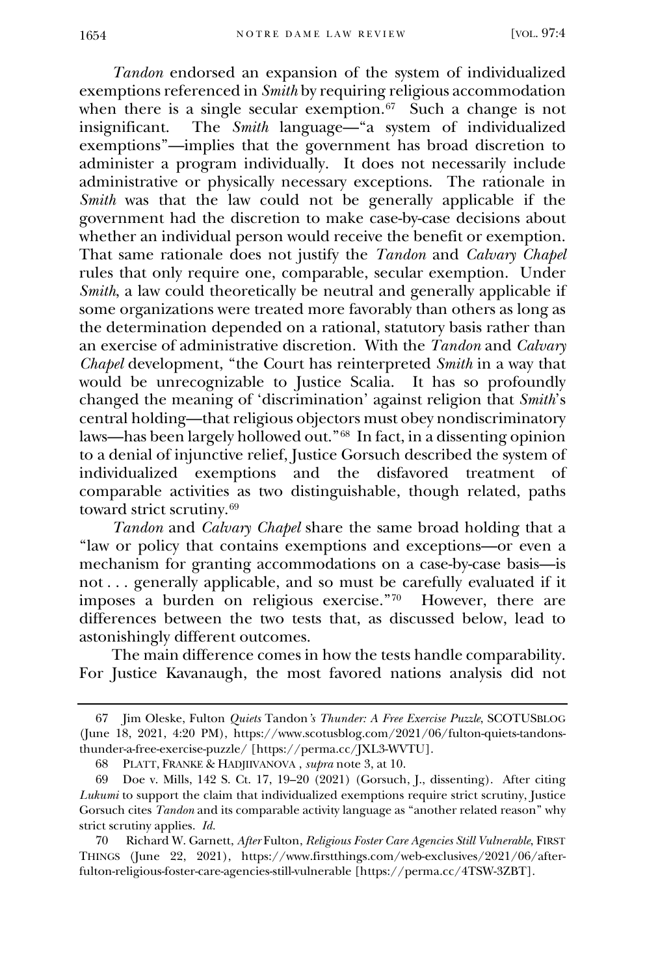*Tandon* endorsed an expansion of the system of individualized exemptions referenced in *Smith* by requiring religious accommodation when there is a single secular exemption. $67$  Such a change is not insignificant. The *Smith* language—"a system of individualized exemptions"—implies that the government has broad discretion to administer a program individually. It does not necessarily include administrative or physically necessary exceptions. The rationale in *Smith* was that the law could not be generally applicable if the government had the discretion to make case-by-case decisions about whether an individual person would receive the benefit or exemption. That same rationale does not justify the *Tandon* and *Calvary Chapel*  rules that only require one, comparable, secular exemption. Under *Smith*, a law could theoretically be neutral and generally applicable if some organizations were treated more favorably than others as long as the determination depended on a rational, statutory basis rather than an exercise of administrative discretion. With the *Tandon* and *Calvary Chapel* development, "the Court has reinterpreted *Smith* in a way that would be unrecognizable to Justice Scalia. It has so profoundly changed the meaning of 'discrimination' against religion that *Smith*'s central holding—that religious objectors must obey nondiscriminatory laws—has been largely hollowed out."[68](#page-11-1) In fact, in a dissenting opinion to a denial of injunctive relief, Justice Gorsuch described the system of individualized exemptions and the disfavored treatment of comparable activities as two distinguishable, though related, paths toward strict scrutiny.[69](#page-11-2)

*Tandon* and *Calvary Chapel* share the same broad holding that a "law or policy that contains exemptions and exceptions—or even a mechanism for granting accommodations on a case-by-case basis—is not . . . generally applicable, and so must be carefully evaluated if it imposes a burden on religious exercise."[70](#page-11-3) However, there are differences between the two tests that, as discussed below, lead to astonishingly different outcomes.

The main difference comes in how the tests handle comparability. For Justice Kavanaugh, the most favored nations analysis did not

<sup>67</sup> Jim Oleske, Fulton *Quiets* Tandon*'s Thunder: A Free Exercise Puzzle*, SCOTUSBLOG (June 18, 2021, 4:20 PM), https://www.scotusblog.com/2021/06/fulton-quiets-tandonsthunder-a-free-exercise-puzzle/ [https://perma.cc/JXL3-WVTU].

<sup>68</sup> PLATT, FRANKE & HADJIIVANOVA , *supra* note 3, at 10.

<sup>69</sup> Doe v. Mills, 142 S. Ct. 17, 19–20 (2021) (Gorsuch, J., dissenting). After citing *Lukumi* to support the claim that individualized exemptions require strict scrutiny, Justice Gorsuch cites *Tandon* and its comparable activity language as "another related reason" why strict scrutiny applies. *Id.*

<span id="page-12-6"></span><span id="page-12-5"></span><span id="page-12-4"></span><span id="page-12-3"></span><span id="page-12-2"></span><span id="page-12-1"></span><span id="page-12-0"></span><sup>70</sup> Richard W. Garnett, *After* Fulton, *Religious Foster Care Agencies Still Vulnerable*, FIRST THINGS (June 22, 2021), https://www.firstthings.com/web-exclusives/2021/06/afterfulton-religious-foster-care-agencies-still-vulnerable [https://perma.cc/4TSW-3ZBT].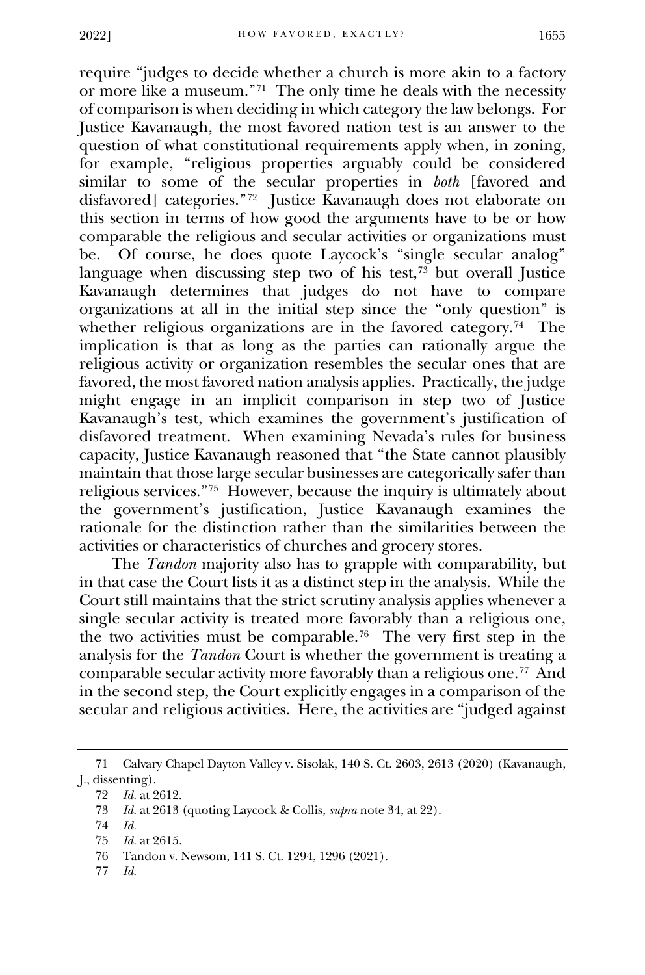require "judges to decide whether a church is more akin to a factory or more like a museum."[71](#page-12-0) The only time he deals with the necessity of comparison is when deciding in which category the law belongs. For Justice Kavanaugh, the most favored nation test is an answer to the question of what constitutional requirements apply when, in zoning, for example, "religious properties arguably could be considered similar to some of the secular properties in *both* [favored and disfavored] categories."[72](#page-12-1) Justice Kavanaugh does not elaborate on this section in terms of how good the arguments have to be or how comparable the religious and secular activities or organizations must be. Of course, he does quote Laycock's "single secular analog" language when discussing step two of his test, $73$  but overall Justice Kavanaugh determines that judges do not have to compare organizations at all in the initial step since the "only question" is whether religious organizations are in the favored category.<sup>74</sup> The implication is that as long as the parties can rationally argue the religious activity or organization resembles the secular ones that are favored, the most favored nation analysis applies. Practically, the judge might engage in an implicit comparison in step two of Justice Kavanaugh's test, which examines the government's justification of disfavored treatment. When examining Nevada's rules for business capacity, Justice Kavanaugh reasoned that "the State cannot plausibly maintain that those large secular businesses are categorically safer than religious services."[75](#page-12-4) However, because the inquiry is ultimately about the government's justification, Justice Kavanaugh examines the rationale for the distinction rather than the similarities between the activities or characteristics of churches and grocery stores.

The *Tandon* majority also has to grapple with comparability, but in that case the Court lists it as a distinct step in the analysis. While the Court still maintains that the strict scrutiny analysis applies whenever a single secular activity is treated more favorably than a religious one, the two activities must be comparable.<sup>76</sup> The very first step in the analysis for the *Tandon* Court is whether the government is treating a comparable secular activity more favorably than a religious one[.77](#page-12-6) And in the second step, the Court explicitly engages in a comparison of the secular and religious activities. Here, the activities are "judged against

<span id="page-13-3"></span><span id="page-13-2"></span><span id="page-13-1"></span>77 *Id.*

<sup>71</sup> Calvary Chapel Dayton Valley v. Sisolak, 140 S. Ct. 2603, 2613 (2020) (Kavanaugh, J., dissenting).

<sup>72</sup> *Id.* at 2612.

<sup>73</sup> *Id.* at 2613 (quoting Laycock & Collis, *supra* note 34, at 22).

<sup>74</sup> *Id.*

<sup>75</sup> *Id.* at 2615.

<span id="page-13-0"></span><sup>76</sup> Tandon v. Newsom, 141 S. Ct. 1294, 1296 (2021).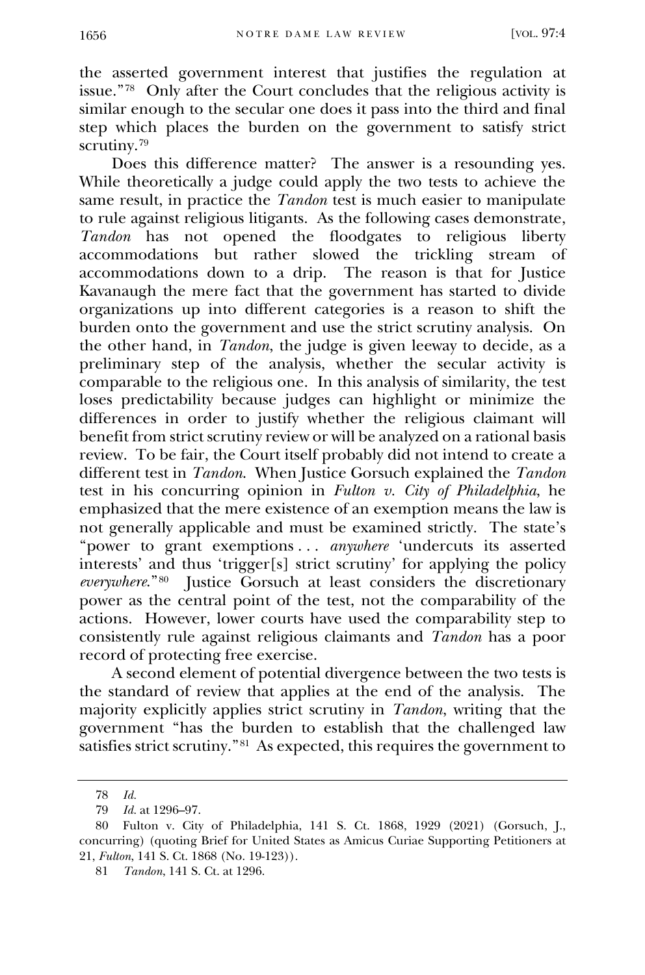the asserted government interest that justifies the regulation at issue."[78](#page-13-0) Only after the Court concludes that the religious activity is similar enough to the secular one does it pass into the third and final step which places the burden on the government to satisfy strict scrutiny.<sup>[79](#page-13-1)</sup>

Does this difference matter? The answer is a resounding yes. While theoretically a judge could apply the two tests to achieve the same result, in practice the *Tandon* test is much easier to manipulate to rule against religious litigants. As the following cases demonstrate, Tandon has not opened the floodgates to religious liberty accommodations but rather slowed the trickling stream of accommodations down to a drip. The reason is that for Justice Kavanaugh the mere fact that the government has started to divide organizations up into different categories is a reason to shift the burden onto the government and use the strict scrutiny analysis. On the other hand, in *Tandon*, the judge is given leeway to decide, as a preliminary step of the analysis, whether the secular activity is comparable to the religious one. In this analysis of similarity, the test loses predictability because judges can highlight or minimize the differences in order to justify whether the religious claimant will benefit from strict scrutiny review or will be analyzed on a rational basis review. To be fair, the Court itself probably did not intend to create a different test in *Tandon*. When Justice Gorsuch explained the *Tandon*  test in his concurring opinion in *Fulton v. City of Philadelphia*, he emphasized that the mere existence of an exemption means the law is not generally applicable and must be examined strictly. The state's "power to grant exemptions ... *anywhere* 'undercuts its asserted interests' and thus 'trigger[s] strict scrutiny' for applying the policy *everywhere*."[80](#page-13-2) Justice Gorsuch at least considers the discretionary power as the central point of the test, not the comparability of the actions. However, lower courts have used the comparability step to consistently rule against religious claimants and *Tandon* has a poor record of protecting free exercise.

A second element of potential divergence between the two tests is the standard of review that applies at the end of the analysis. The majority explicitly applies strict scrutiny in *Tandon*, writing that the government "has the burden to establish that the challenged law satisfies strict scrutiny."<sup>[81](#page-13-3)</sup> As expected, this requires the government to

<sup>78</sup> *Id.*

<sup>79</sup> *Id.* at 1296–97.

<span id="page-14-3"></span><span id="page-14-2"></span><span id="page-14-1"></span><span id="page-14-0"></span><sup>80</sup> Fulton v. City of Philadelphia, 141 S. Ct. 1868, 1929 (2021) (Gorsuch, J., concurring) (quoting Brief for United States as Amicus Curiae Supporting Petitioners at 21, *Fulton*, 141 S. Ct. 1868 (No. 19-123)).

<span id="page-14-4"></span><sup>81</sup> *Tandon*, 141 S. Ct. at 1296.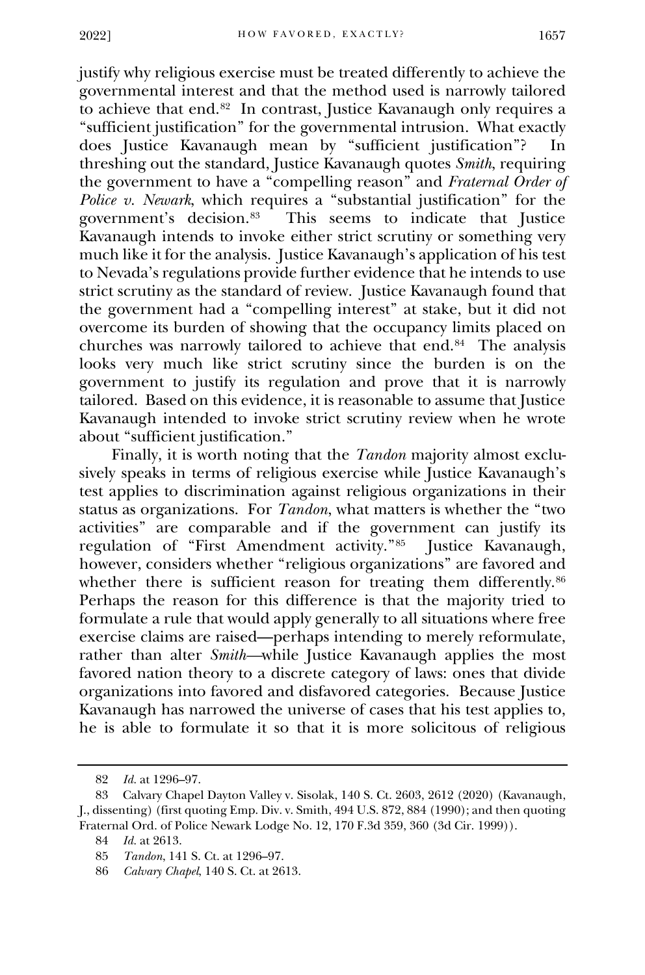justify why religious exercise must be treated differently to achieve the governmental interest and that the method used is narrowly tailored to achieve that end.[82](#page-14-0) In contrast, Justice Kavanaugh only requires a "sufficient justification" for the governmental intrusion. What exactly does Justice Kavanaugh mean by "sufficient justification"? In threshing out the standard, Justice Kavanaugh quotes *Smith*, requiring the government to have a "compelling reason" and *Fraternal Order of Police v. Newark*, which requires a "substantial justification" for the government's decision.[83](#page-14-1) This seems to indicate that Justice Kavanaugh intends to invoke either strict scrutiny or something very much like it for the analysis. Justice Kavanaugh's application of his test to Nevada's regulations provide further evidence that he intends to use strict scrutiny as the standard of review. Justice Kavanaugh found that the government had a "compelling interest" at stake, but it did not overcome its burden of showing that the occupancy limits placed on churches was narrowly tailored to achieve that end.[84](#page-14-2) The analysis looks very much like strict scrutiny since the burden is on the government to justify its regulation and prove that it is narrowly tailored. Based on this evidence, it is reasonable to assume that Justice Kavanaugh intended to invoke strict scrutiny review when he wrote about "sufficient justification."

Finally, it is worth noting that the *Tandon* majority almost exclusively speaks in terms of religious exercise while Justice Kavanaugh's test applies to discrimination against religious organizations in their status as organizations. For *Tandon*, what matters is whether the "two activities" are comparable and if the government can justify its regulation of "First Amendment activity."<sup>[85](#page-14-3)</sup> Justice Kavanaugh, however, considers whether "religious organizations" are favored and whether there is sufficient reason for treating them differently.<sup>[86](#page-14-4)</sup> Perhaps the reason for this difference is that the majority tried to formulate a rule that would apply generally to all situations where free exercise claims are raised—perhaps intending to merely reformulate, rather than alter *Smith—while* Justice Kavanaugh applies the most favored nation theory to a discrete category of laws: ones that divide organizations into favored and disfavored categories. Because Justice Kavanaugh has narrowed the universe of cases that his test applies to, he is able to formulate it so that it is more solicitous of religious

<sup>82</sup> *Id.* at 1296–97.

<span id="page-15-0"></span><sup>83</sup> Calvary Chapel Dayton Valley v. Sisolak, 140 S. Ct. 2603, 2612 (2020) (Kavanaugh, J., dissenting) (first quoting Emp. Div. v. Smith, 494 U.S. 872, 884 (1990); and then quoting Fraternal Ord. of Police Newark Lodge No. 12, 170 F.3d 359, 360 (3d Cir. 1999)).

<sup>84</sup> *Id.* at 2613.

<sup>85</sup> *Tandon*, 141 S. Ct. at 1296–97.

<span id="page-15-4"></span><span id="page-15-3"></span><span id="page-15-2"></span><span id="page-15-1"></span><sup>86</sup> *Calvary Chapel*, 140 S. Ct. at 2613.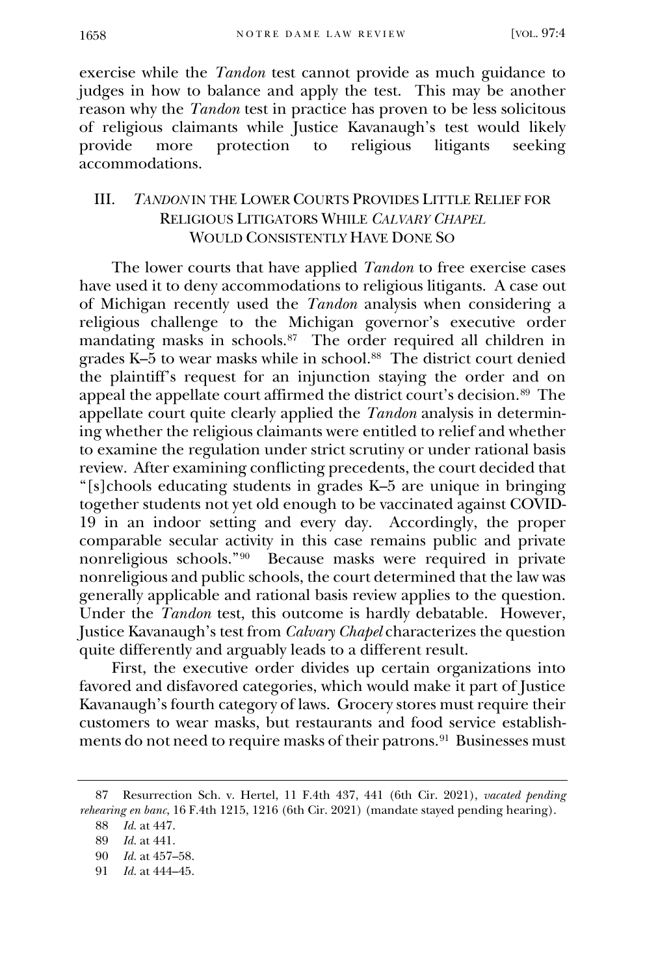exercise while the *Tandon* test cannot provide as much guidance to judges in how to balance and apply the test. This may be another reason why the *Tandon* test in practice has proven to be less solicitous of religious claimants while Justice Kavanaugh's test would likely provide more protection to religious litigants seeking accommodations.

### III. *TANDON* IN THE LOWER COURTS PROVIDES LITTLE RELIEF FOR RELIGIOUS LITIGATORS WHILE *CALVARY CHAPEL*  WOULD CONSISTENTLY HAVE DONE SO

The lower courts that have applied *Tandon* to free exercise cases have used it to deny accommodations to religious litigants. A case out of Michigan recently used the *Tandon* analysis when considering a religious challenge to the Michigan governor's executive order mandating masks in schools.<sup>87</sup> The order required all children in grades K–5 to wear masks while in school.[88](#page-15-1) The district court denied the plaintiff's request for an injunction staying the order and on appeal the appellate court affirmed the district court's decision.[89](#page-15-2) The appellate court quite clearly applied the *Tandon* analysis in determining whether the religious claimants were entitled to relief and whether to examine the regulation under strict scrutiny or under rational basis review. After examining conflicting precedents, the court decided that "[s]chools educating students in grades K–5 are unique in bringing together students not yet old enough to be vaccinated against COVID-19 in an indoor setting and every day. Accordingly, the proper comparable secular activity in this case remains public and private nonreligious schools."<sup>[90](#page-15-3)</sup> Because masks were required in private nonreligious and public schools, the court determined that the law was generally applicable and rational basis review applies to the question. Under the *Tandon* test, this outcome is hardly debatable. However, Justice Kavanaugh's test from *Calvary Chapel* characterizes the question quite differently and arguably leads to a different result.

First, the executive order divides up certain organizations into favored and disfavored categories, which would make it part of Justice Kavanaugh's fourth category of laws. Grocery stores must require their customers to wear masks, but restaurants and food service establishments do not need to require masks of their patrons.<sup>91</sup> Businesses must

<sup>87</sup> Resurrection Sch. v. Hertel, 11 F.4th 437, 441 (6th Cir. 2021), *vacated pending rehearing en banc*, 16 F.4th 1215, 1216 (6th Cir. 2021) (mandate stayed pending hearing).

<sup>88</sup> *Id.* at 447.

<sup>89</sup> *Id.* at 441.

<sup>90</sup> *Id.* at 457–58.

<span id="page-16-2"></span><span id="page-16-1"></span><span id="page-16-0"></span><sup>91</sup> *Id.* at 444–45.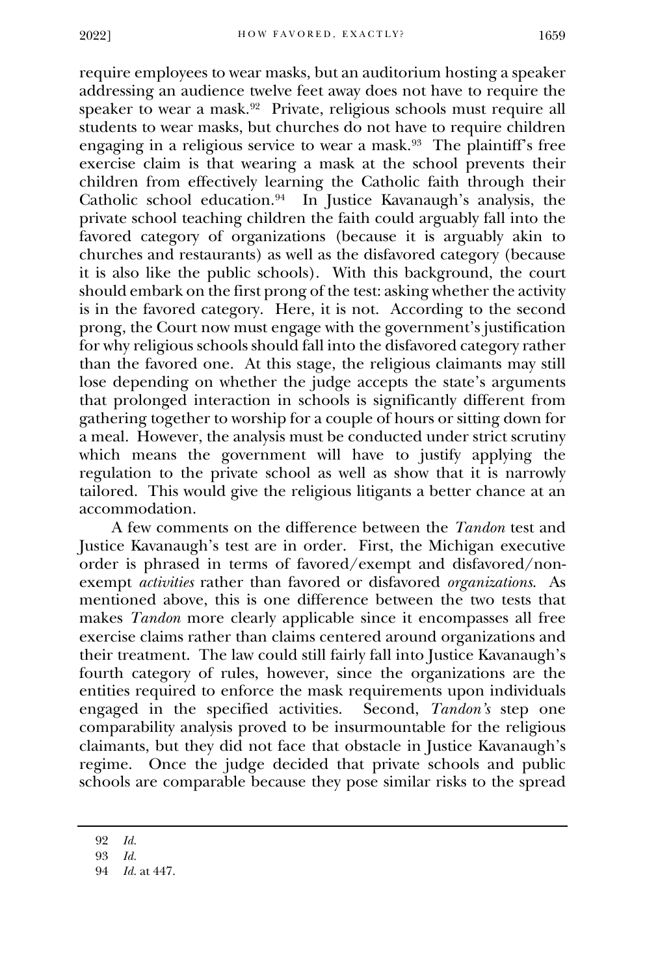require employees to wear masks, but an auditorium hosting a speaker addressing an audience twelve feet away does not have to require the speaker to wear a mask.[92](#page-16-0) Private, religious schools must require all students to wear masks, but churches do not have to require children engaging in a religious service to wear a mask.[93](#page-16-1) The plaintiff's free exercise claim is that wearing a mask at the school prevents their children from effectively learning the Catholic faith through their Catholic school education.[94](#page-16-2) In Justice Kavanaugh's analysis, the private school teaching children the faith could arguably fall into the favored category of organizations (because it is arguably akin to churches and restaurants) as well as the disfavored category (because it is also like the public schools). With this background, the court should embark on the first prong of the test: asking whether the activity is in the favored category. Here, it is not. According to the second prong, the Court now must engage with the government's justification for why religious schools should fall into the disfavored category rather than the favored one. At this stage, the religious claimants may still lose depending on whether the judge accepts the state's arguments that prolonged interaction in schools is significantly different from gathering together to worship for a couple of hours or sitting down for a meal. However, the analysis must be conducted under strict scrutiny which means the government will have to justify applying the regulation to the private school as well as show that it is narrowly tailored. This would give the religious litigants a better chance at an accommodation.

A few comments on the difference between the *Tandon* test and Justice Kavanaugh's test are in order. First, the Michigan executive order is phrased in terms of favored/exempt and disfavored/nonexempt *activities* rather than favored or disfavored *organizations*. As mentioned above, this is one difference between the two tests that makes *Tandon* more clearly applicable since it encompasses all free exercise claims rather than claims centered around organizations and their treatment. The law could still fairly fall into Justice Kavanaugh's fourth category of rules, however, since the organizations are the entities required to enforce the mask requirements upon individuals engaged in the specified activities. Second, *Tandon's* step one comparability analysis proved to be insurmountable for the religious claimants, but they did not face that obstacle in Justice Kavanaugh's regime. Once the judge decided that private schools and public schools are comparable because they pose similar risks to the spread

<span id="page-17-1"></span><span id="page-17-0"></span><sup>92</sup> *Id.*

<sup>93</sup> *Id.*

<span id="page-17-6"></span><span id="page-17-5"></span><span id="page-17-4"></span><span id="page-17-3"></span><span id="page-17-2"></span><sup>94</sup> *Id.* at 447.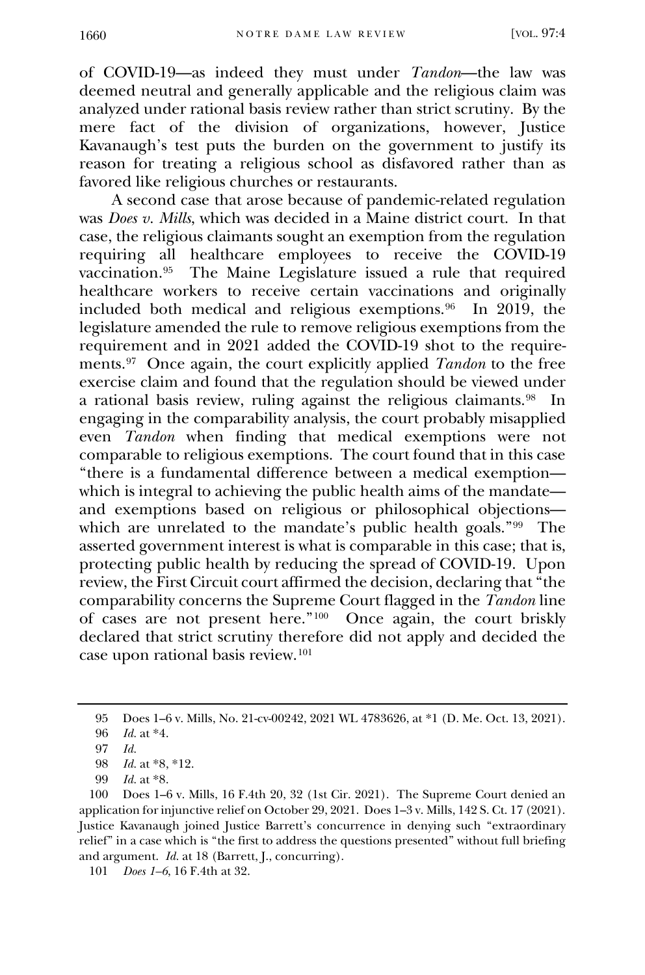of COVID-19—as indeed they must under *Tandon*—the law was deemed neutral and generally applicable and the religious claim was analyzed under rational basis review rather than strict scrutiny. By the mere fact of the division of organizations, however, Justice Kavanaugh's test puts the burden on the government to justify its reason for treating a religious school as disfavored rather than as favored like religious churches or restaurants.

A second case that arose because of pandemic-related regulation was *Does v. Mills*, which was decided in a Maine district court. In that case, the religious claimants sought an exemption from the regulation requiring all healthcare employees to receive the COVID-19 vaccination.[95](#page-17-0) The Maine Legislature issued a rule that required healthcare workers to receive certain vaccinations and originally included both medical and religious exemptions.[96](#page-17-1) In 2019, the legislature amended the rule to remove religious exemptions from the requirement and in 2021 added the COVID-19 shot to the requirements.[97](#page-17-2) Once again, the court explicitly applied *Tandon* to the free exercise claim and found that the regulation should be viewed under a rational basis review, ruling against the religious claimants.<sup>98</sup> In engaging in the comparability analysis, the court probably misapplied even *Tandon* when finding that medical exemptions were not comparable to religious exemptions. The court found that in this case "there is a fundamental difference between a medical exemption which is integral to achieving the public health aims of the mandate and exemptions based on religious or philosophical objections— which are unrelated to the mandate's public health goals.["99](#page-17-4) The asserted government interest is what is comparable in this case; that is, protecting public health by reducing the spread of COVID-19. Upon review, the First Circuit court affirmed the decision, declaring that "the comparability concerns the Supreme Court flagged in the *Tandon* line of cases are not present here.["100](#page-17-5) Once again, the court briskly declared that strict scrutiny therefore did not apply and decided the case upon rational basis review.[101](#page-17-6) 

<sup>95</sup> Does 1–6 v. Mills, No. 21-cv-00242, 2021 WL 4783626, at \*1 (D. Me. Oct. 13, 2021).

<sup>96</sup> *Id.* at \*4.

<sup>97</sup> *Id.* 

<sup>98</sup> *Id.* at \*8, \*12.

<sup>99</sup> *Id.* at \*8.

<span id="page-18-1"></span><span id="page-18-0"></span><sup>100</sup> Does 1–6 v. Mills, 16 F.4th 20, 32 (1st Cir. 2021). The Supreme Court denied an application for injunctive relief on October 29, 2021. Does 1–3 v. Mills, 142 S. Ct. 17 (2021). Justice Kavanaugh joined Justice Barrett's concurrence in denying such "extraordinary relief" in a case which is "the first to address the questions presented" without full briefing and argument. *Id.* at 18 (Barrett, J., concurring).

<span id="page-18-4"></span><span id="page-18-3"></span><span id="page-18-2"></span><sup>101</sup> *Does 1–6*, 16 F.4th at 32.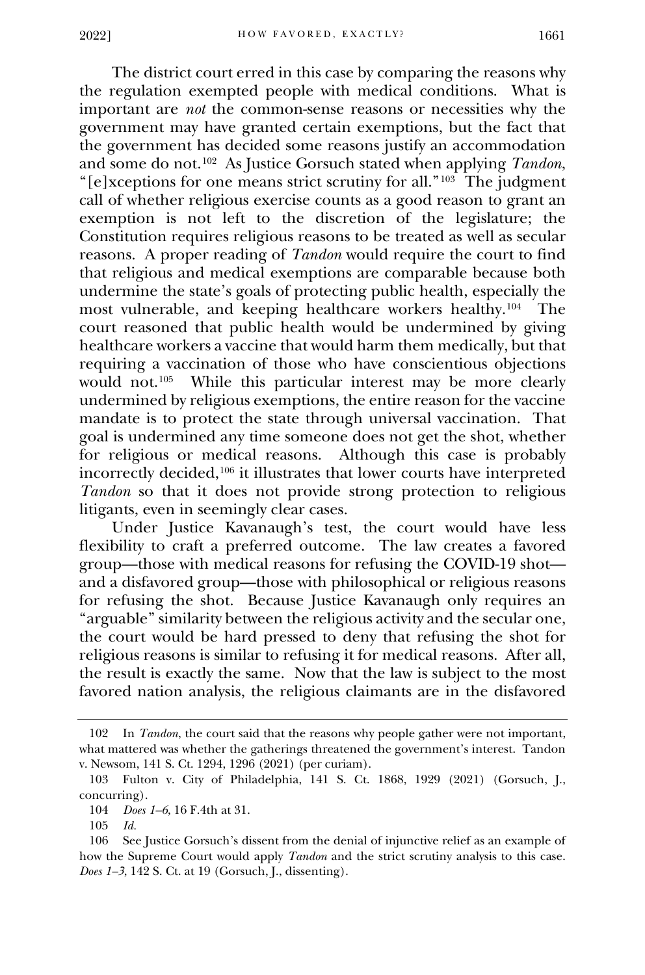The district court erred in this case by comparing the reasons why the regulation exempted people with medical conditions. What is important are *not* the common-sense reasons or necessities why the government may have granted certain exemptions, but the fact that the government has decided some reasons justify an accommodation and some do not.[102](#page-18-0) As Justice Gorsuch stated when applying *Tandon*, "[e]xceptions for one means strict scrutiny for all."[103](#page-18-1) The judgment call of whether religious exercise counts as a good reason to grant an exemption is not left to the discretion of the legislature; the Constitution requires religious reasons to be treated as well as secular reasons. A proper reading of *Tandon* would require the court to find that religious and medical exemptions are comparable because both undermine the state's goals of protecting public health, especially the most vulnerable, and keeping healthcare workers healthy.<sup>104</sup> The court reasoned that public health would be undermined by giving healthcare workers a vaccine that would harm them medically, but that requiring a vaccination of those who have conscientious objections would not.<sup>[105](#page-18-3)</sup> While this particular interest may be more clearly undermined by religious exemptions, the entire reason for the vaccine mandate is to protect the state through universal vaccination. That goal is undermined any time someone does not get the shot, whether for religious or medical reasons. Although this case is probably incorrectly decided,[106](#page-18-4) it illustrates that lower courts have interpreted *Tandon* so that it does not provide strong protection to religious litigants, even in seemingly clear cases.

Under Justice Kavanaugh's test, the court would have less flexibility to craft a preferred outcome. The law creates a favored group—those with medical reasons for refusing the COVID-19 shot and a disfavored group—those with philosophical or religious reasons for refusing the shot. Because Justice Kavanaugh only requires an "arguable" similarity between the religious activity and the secular one, the court would be hard pressed to deny that refusing the shot for religious reasons is similar to refusing it for medical reasons. After all, the result is exactly the same. Now that the law is subject to the most favored nation analysis, the religious claimants are in the disfavored

<sup>102</sup> In *Tandon*, the court said that the reasons why people gather were not important, what mattered was whether the gatherings threatened the government's interest. Tandon v. Newsom, 141 S. Ct. 1294, 1296 (2021) (per curiam).

<sup>103</sup> Fulton v. City of Philadelphia, 141 S. Ct. 1868, 1929 (2021) (Gorsuch, J., concurring).

<sup>104</sup> *Does 1–6*, 16 F.4th at 31.

<sup>105</sup> *Id.* 

<span id="page-19-5"></span><span id="page-19-4"></span><span id="page-19-3"></span><span id="page-19-2"></span><span id="page-19-1"></span><span id="page-19-0"></span><sup>106</sup> See Justice Gorsuch's dissent from the denial of injunctive relief as an example of how the Supreme Court would apply *Tandon* and the strict scrutiny analysis to this case. *Does 1–3*, 142 S. Ct. at 19 (Gorsuch, J., dissenting).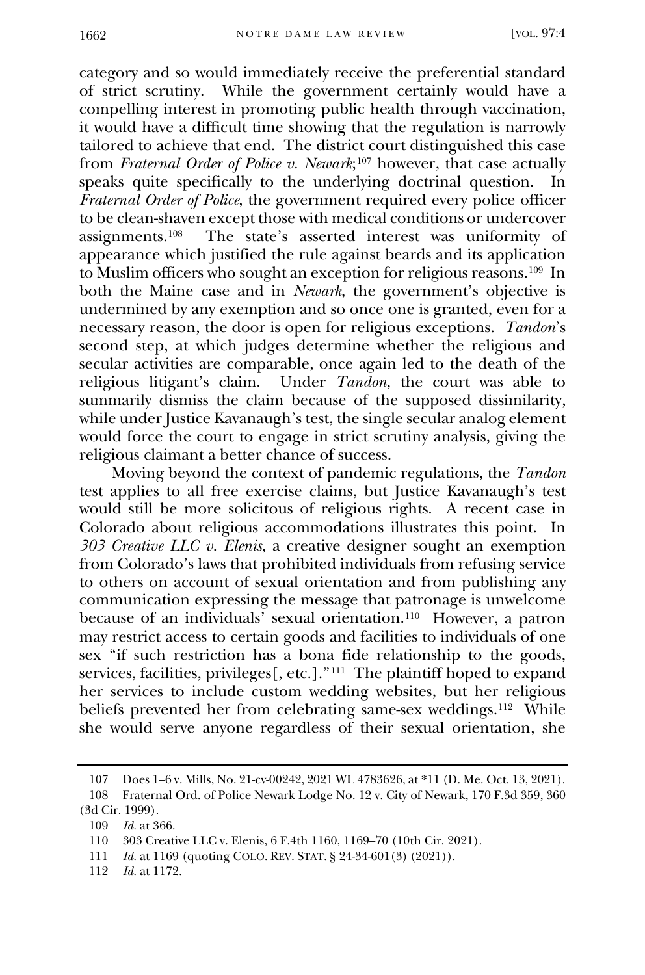category and so would immediately receive the preferential standard of strict scrutiny. While the government certainly would have a compelling interest in promoting public health through vaccination, it would have a difficult time showing that the regulation is narrowly tailored to achieve that end. The district court distinguished this case from *Fraternal Order of Police v. Newark*;[107](#page-19-0) however, that case actually speaks quite specifically to the underlying doctrinal question. In *Fraternal Order of Police*, the government required every police officer to be clean-shaven except those with medical conditions or undercover<br>assignments.<sup>108</sup> The state's asserted interest was uniformity of The state's asserted interest was uniformity of appearance which justified the rule against beards and its application to Muslim officers who sought an exception for religious reasons.[109](#page-19-2) In both the Maine case and in *Newark*, the government's objective is undermined by any exemption and so once one is granted, even for a necessary reason, the door is open for religious exceptions. *Tandon*'s second step, at which judges determine whether the religious and secular activities are comparable, once again led to the death of the religious litigant's claim. Under *Tandon*, the court was able to summarily dismiss the claim because of the supposed dissimilarity, while under Justice Kavanaugh's test, the single secular analog element would force the court to engage in strict scrutiny analysis, giving the religious claimant a better chance of success.

Moving beyond the context of pandemic regulations, the *Tandon*  test applies to all free exercise claims, but Justice Kavanaugh's test would still be more solicitous of religious rights. A recent case in Colorado about religious accommodations illustrates this point. In *303 Creative LLC v. Elenis*, a creative designer sought an exemption from Colorado's laws that prohibited individuals from refusing service to others on account of sexual orientation and from publishing any communication expressing the message that patronage is unwelcome because of an individuals' sexual orientation.[110](#page-19-3) However, a patron may restrict access to certain goods and facilities to individuals of one sex "if such restriction has a bona fide relationship to the goods, services, facilities, privileges[, etc.]."<sup>[111](#page-19-4)</sup> The plaintiff hoped to expand her services to include custom wedding websites, but her religious beliefs prevented her from celebrating same-sex weddings.<sup>[112](#page-19-5)</sup> While she would serve anyone regardless of their sexual orientation, she

<span id="page-20-5"></span><span id="page-20-4"></span><span id="page-20-3"></span><span id="page-20-2"></span><span id="page-20-1"></span>112 *Id.* at 1172.

<sup>107</sup> Does 1–6 v. Mills, No. 21-cv-00242, 2021 WL 4783626, at \*11 (D. Me. Oct. 13, 2021). 108 Fraternal Ord. of Police Newark Lodge No. 12 v. City of Newark, 170 F.3d 359, 360

<span id="page-20-0"></span><sup>(3</sup>d Cir. 1999).

<sup>109</sup> *Id.* at 366.

<sup>110</sup> 303 Creative LLC v. Elenis, 6 F.4th 1160, 1169–70 (10th Cir. 2021).

<sup>111</sup> *Id.* at 1169 (quoting COLO. REV. STAT. § 24-34-601(3) (2021)).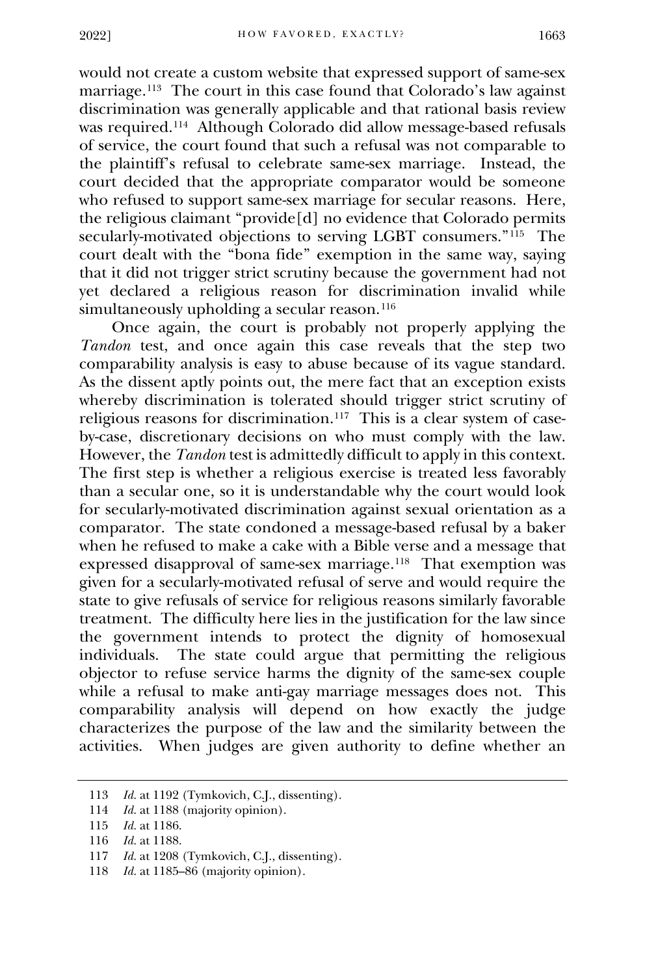would not create a custom website that expressed support of same-sex marriage.[113](#page-20-0) The court in this case found that Colorado's law against discrimination was generally applicable and that rational basis review was required.[114](#page-20-1) Although Colorado did allow message-based refusals of service, the court found that such a refusal was not comparable to the plaintiff's refusal to celebrate same-sex marriage. Instead, the court decided that the appropriate comparator would be someone who refused to support same-sex marriage for secular reasons. Here, the religious claimant "provide[d] no evidence that Colorado permits secularly-motivated objections to serving LGBT consumers."<sup>[115](#page-20-2)</sup> The court dealt with the "bona fide" exemption in the same way, saying that it did not trigger strict scrutiny because the government had not yet declared a religious reason for discrimination invalid while simultaneously upholding a secular reason.<sup>116</sup>

Once again, the court is probably not properly applying the *Tandon* test, and once again this case reveals that the step two comparability analysis is easy to abuse because of its vague standard. As the dissent aptly points out, the mere fact that an exception exists whereby discrimination is tolerated should trigger strict scrutiny of religious reasons for discrimination.[117](#page-20-4) This is a clear system of caseby-case, discretionary decisions on who must comply with the law. However, the *Tandon* test is admittedly difficult to apply in this context. The first step is whether a religious exercise is treated less favorably than a secular one, so it is understandable why the court would look for secularly-motivated discrimination against sexual orientation as a comparator. The state condoned a message-based refusal by a baker when he refused to make a cake with a Bible verse and a message that expressed disapproval of same-sex marriage.[118](#page-20-5) That exemption was given for a secularly-motivated refusal of serve and would require the state to give refusals of service for religious reasons similarly favorable treatment. The difficulty here lies in the justification for the law since the government intends to protect the dignity of homosexual individuals. The state could argue that permitting the religious objector to refuse service harms the dignity of the same-sex couple while a refusal to make anti-gay marriage messages does not. This comparability analysis will depend on how exactly the judge characterizes the purpose of the law and the similarity between the activities. When judges are given authority to define whether an

<sup>113</sup> *Id.* at 1192 (Tymkovich, C.J., dissenting).

<sup>114</sup> *Id.* at 1188 (majority opinion).

<sup>115</sup> *Id.* at 1186.

<sup>116</sup> *Id.* at 1188.

<span id="page-21-0"></span><sup>117</sup> *Id.* at 1208 (Tymkovich, C.J., dissenting).

<span id="page-21-5"></span><span id="page-21-4"></span><span id="page-21-3"></span><span id="page-21-2"></span><span id="page-21-1"></span><sup>118</sup> *Id.* at 1185–86 (majority opinion).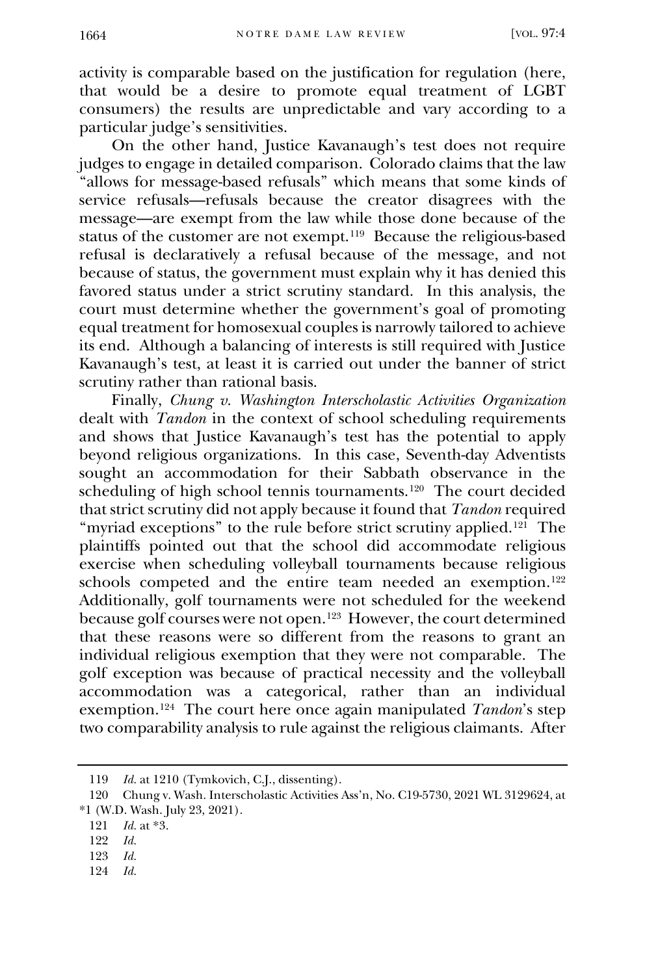activity is comparable based on the justification for regulation (here, that would be a desire to promote equal treatment of LGBT consumers) the results are unpredictable and vary according to a particular judge's sensitivities.

On the other hand, Justice Kavanaugh's test does not require judges to engage in detailed comparison. Colorado claims that the law "allows for message-based refusals" which means that some kinds of service refusals—refusals because the creator disagrees with the message—are exempt from the law while those done because of the status of the customer are not exempt.[119](#page-21-0) Because the religious-based refusal is declaratively a refusal because of the message, and not because of status, the government must explain why it has denied this favored status under a strict scrutiny standard. In this analysis, the court must determine whether the government's goal of promoting equal treatment for homosexual couples is narrowly tailored to achieve its end. Although a balancing of interests is still required with Justice Kavanaugh's test, at least it is carried out under the banner of strict scrutiny rather than rational basis.

Finally, *Chung v. Washington Interscholastic Activities Organization* dealt with *Tandon* in the context of school scheduling requirements and shows that Justice Kavanaugh's test has the potential to apply beyond religious organizations. In this case, Seventh-day Adventists sought an accommodation for their Sabbath observance in the scheduling of high school tennis tournaments.[120](#page-21-1) The court decided that strict scrutiny did not apply because it found that *Tandon* required "myriad exceptions" to the rule before strict scrutiny applied.<sup>[121](#page-21-2)</sup> The plaintiffs pointed out that the school did accommodate religious exercise when scheduling volleyball tournaments because religious schools competed and the entire team needed an exemption.<sup>[122](#page-21-3)</sup> Additionally, golf tournaments were not scheduled for the weekend because golf courses were not open.[123](#page-21-4) However, the court determined that these reasons were so different from the reasons to grant an individual religious exemption that they were not comparable. The golf exception was because of practical necessity and the volleyball accommodation was a categorical, rather than an individual exemption.[124](#page-21-5) The court here once again manipulated *Tandon*'s step two comparability analysis to rule against the religious claimants. After

<span id="page-22-0"></span>124 *Id.*

<sup>119</sup> *Id.* at 1210 (Tymkovich, C.J., dissenting).

<sup>120</sup> Chung v. Wash. Interscholastic Activities Ass'n, No. C19-5730, 2021 WL 3129624, at \*1 (W.D. Wash. July 23, 2021).

<sup>121</sup> *Id.* at \*3.

<sup>122</sup> *Id.*

<sup>123</sup> *Id.*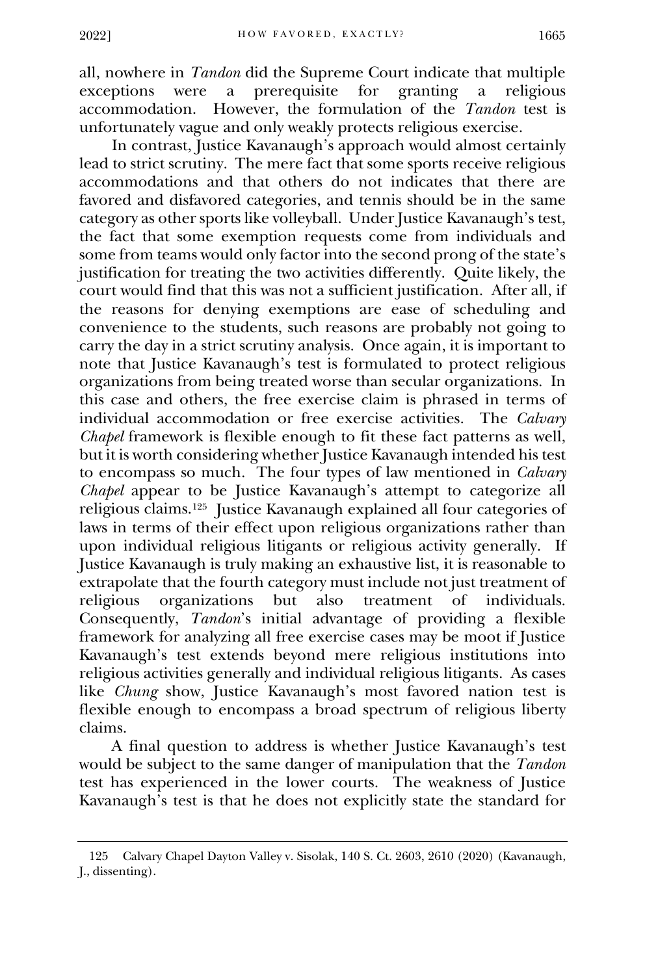all, nowhere in *Tandon* did the Supreme Court indicate that multiple exceptions were a prerequisite for granting a religious accommodation. However, the formulation of the *Tandon* test is unfortunately vague and only weakly protects religious exercise.

In contrast, Justice Kavanaugh's approach would almost certainly lead to strict scrutiny. The mere fact that some sports receive religious accommodations and that others do not indicates that there are favored and disfavored categories, and tennis should be in the same category as other sports like volleyball. Under Justice Kavanaugh's test, the fact that some exemption requests come from individuals and some from teams would only factor into the second prong of the state's justification for treating the two activities differently. Quite likely, the court would find that this was not a sufficient justification. After all, if the reasons for denying exemptions are ease of scheduling and convenience to the students, such reasons are probably not going to carry the day in a strict scrutiny analysis. Once again, it is important to note that Justice Kavanaugh's test is formulated to protect religious organizations from being treated worse than secular organizations. In this case and others, the free exercise claim is phrased in terms of individual accommodation or free exercise activities. The *Calvary Chapel* framework is flexible enough to fit these fact patterns as well, but it is worth considering whether Justice Kavanaugh intended his test to encompass so much. The four types of law mentioned in *Calvary Chapel* appear to be Justice Kavanaugh's attempt to categorize all religious claims.[125](#page-22-0) Justice Kavanaugh explained all four categories of laws in terms of their effect upon religious organizations rather than upon individual religious litigants or religious activity generally. If Justice Kavanaugh is truly making an exhaustive list, it is reasonable to extrapolate that the fourth category must include not just treatment of religious organizations but also treatment of individuals. Consequently, *Tandon*'s initial advantage of providing a flexible framework for analyzing all free exercise cases may be moot if Justice Kavanaugh's test extends beyond mere religious institutions into religious activities generally and individual religious litigants. As cases like *Chung* show, Justice Kavanaugh's most favored nation test is flexible enough to encompass a broad spectrum of religious liberty claims.

A final question to address is whether Justice Kavanaugh's test would be subject to the same danger of manipulation that the *Tandon* test has experienced in the lower courts. The weakness of Justice Kavanaugh's test is that he does not explicitly state the standard for

<sup>125</sup> Calvary Chapel Dayton Valley v. Sisolak, 140 S. Ct. 2603, 2610 (2020) (Kavanaugh, J., dissenting).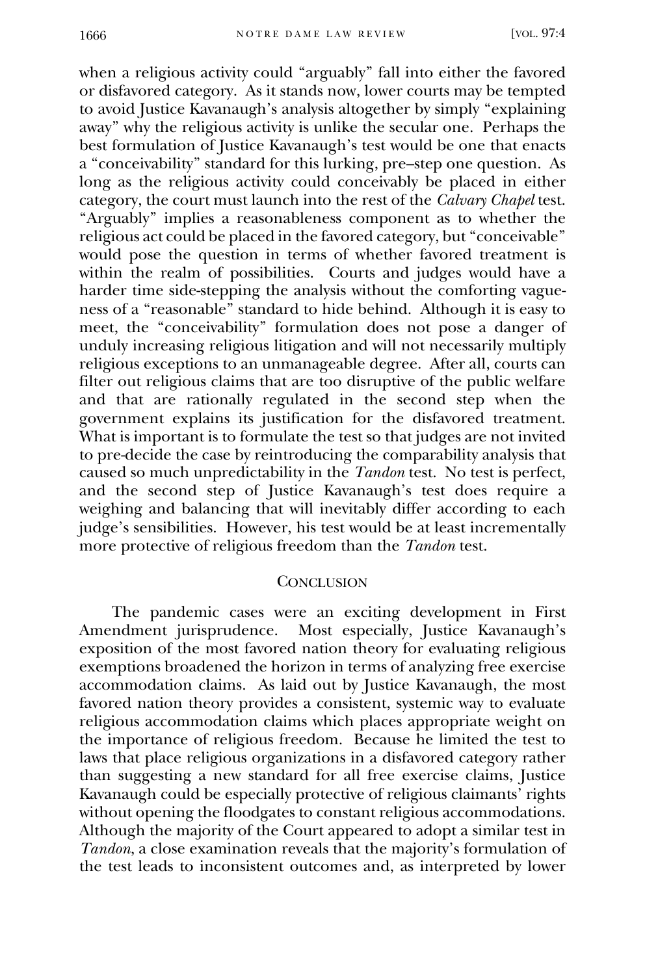when a religious activity could "arguably" fall into either the favored or disfavored category. As it stands now, lower courts may be tempted to avoid Justice Kavanaugh's analysis altogether by simply "explaining away" why the religious activity is unlike the secular one. Perhaps the best formulation of Justice Kavanaugh's test would be one that enacts a "conceivability" standard for this lurking, pre–step one question. As long as the religious activity could conceivably be placed in either category, the court must launch into the rest of the *Calvary Chapel* test. "Arguably" implies a reasonableness component as to whether the religious act could be placed in the favored category, but "conceivable" would pose the question in terms of whether favored treatment is within the realm of possibilities. Courts and judges would have a harder time side-stepping the analysis without the comforting vagueness of a "reasonable" standard to hide behind. Although it is easy to meet, the "conceivability" formulation does not pose a danger of unduly increasing religious litigation and will not necessarily multiply religious exceptions to an unmanageable degree. After all, courts can filter out religious claims that are too disruptive of the public welfare and that are rationally regulated in the second step when the government explains its justification for the disfavored treatment. What is important is to formulate the test so that judges are not invited to pre-decide the case by reintroducing the comparability analysis that caused so much unpredictability in the *Tandon* test. No test is perfect, and the second step of Justice Kavanaugh's test does require a weighing and balancing that will inevitably differ according to each judge's sensibilities. However, his test would be at least incrementally more protective of religious freedom than the *Tandon* test.

#### **CONCLUSION**

The pandemic cases were an exciting development in First Amendment jurisprudence. Most especially, Justice Kavanaugh's exposition of the most favored nation theory for evaluating religious exemptions broadened the horizon in terms of analyzing free exercise accommodation claims. As laid out by Justice Kavanaugh, the most favored nation theory provides a consistent, systemic way to evaluate religious accommodation claims which places appropriate weight on the importance of religious freedom. Because he limited the test to laws that place religious organizations in a disfavored category rather than suggesting a new standard for all free exercise claims, Justice Kavanaugh could be especially protective of religious claimants' rights without opening the floodgates to constant religious accommodations. Although the majority of the Court appeared to adopt a similar test in *Tandon*, a close examination reveals that the majority's formulation of the test leads to inconsistent outcomes and, as interpreted by lower